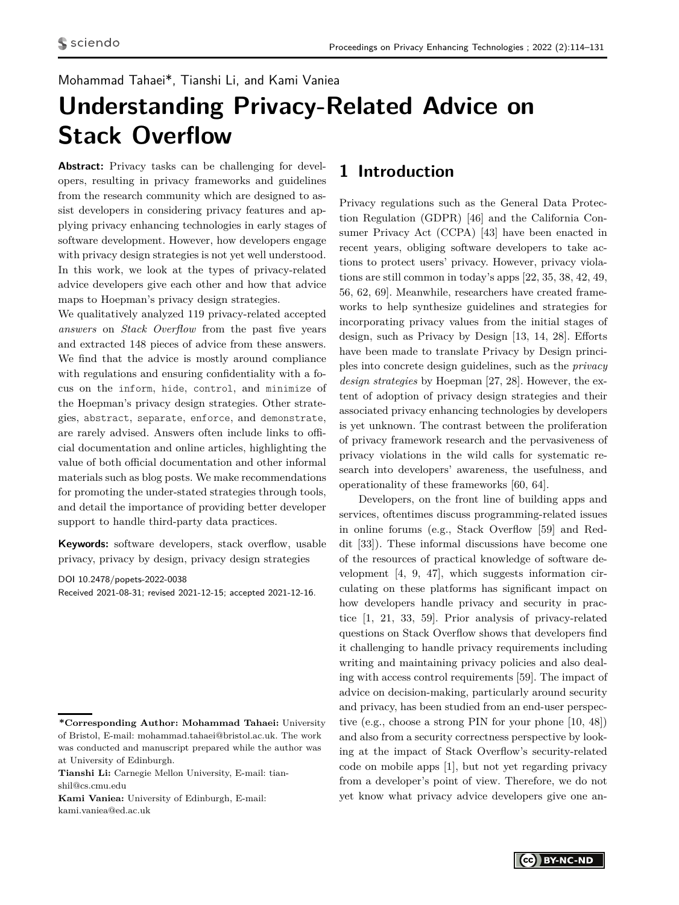# Mohammad Tahaei\*, Tianshi Li, and Kami Vaniea

# **Understanding Privacy-Related Advice on Stack Overflow**

**Abstract:** Privacy tasks can be challenging for developers, resulting in privacy frameworks and guidelines from the research community which are designed to assist developers in considering privacy features and applying privacy enhancing technologies in early stages of software development. However, how developers engage with privacy design strategies is not yet well understood. In this work, we look at the types of privacy-related advice developers give each other and how that advice maps to Hoepman's privacy design strategies.

We qualitatively analyzed 119 privacy-related accepted *answers* on *Stack Overflow* from the past five years and extracted 148 pieces of advice from these answers. We find that the advice is mostly around compliance with regulations and ensuring confidentiality with a focus on the inform, hide, control, and minimize of the Hoepman's privacy design strategies. Other strategies, abstract, separate, enforce, and demonstrate, are rarely advised. Answers often include links to official documentation and online articles, highlighting the value of both official documentation and other informal materials such as blog posts. We make recommendations for promoting the under-stated strategies through tools, and detail the importance of providing better developer support to handle third-party data practices.

**Keywords:** software developers, stack overflow, usable privacy, privacy by design, privacy design strategies

DOI 10.2478/popets-2022-0038

Received 2021-08-31; revised 2021-12-15; accepted 2021-12-16.

**Kami Vaniea:** University of Edinburgh, E-mail: kami.vaniea@ed.ac.uk

# **1 Introduction**

Privacy regulations such as the General Data Protection Regulation (GDPR) [\[46\]](#page-16-0) and the California Consumer Privacy Act (CCPA) [\[43\]](#page-16-1) have been enacted in recent years, obliging software developers to take actions to protect users' privacy. However, privacy violations are still common in today's apps [\[22,](#page-15-0) [35,](#page-16-2) [38,](#page-16-3) [42,](#page-16-4) [49,](#page-16-5) [56,](#page-16-6) [62,](#page-17-1) [69\]](#page-17-2). Meanwhile, researchers have created frameworks to help synthesize guidelines and strategies for incorporating privacy values from the initial stages of design, such as Privacy by Design [\[13,](#page-15-1) [14,](#page-15-2) [28\]](#page-15-3). Efforts have been made to translate Privacy by Design principles into concrete design guidelines, such as the *privacy design strategies* by Hoepman [\[27,](#page-15-4) [28\]](#page-15-3). However, the extent of adoption of privacy design strategies and their associated privacy enhancing technologies by developers is yet unknown. The contrast between the proliferation of privacy framework research and the pervasiveness of privacy violations in the wild calls for systematic research into developers' awareness, the usefulness, and operationality of these frameworks [\[60,](#page-17-3) [64\]](#page-17-4).

Developers, on the front line of building apps and services, oftentimes discuss programming-related issues in online forums (e.g., Stack Overflow [\[59\]](#page-17-5) and Reddit [\[33\]](#page-15-5)). These informal discussions have become one of the resources of practical knowledge of software development [\[4,](#page-14-0) [9,](#page-14-1) [47\]](#page-16-7), which suggests information circulating on these platforms has significant impact on how developers handle privacy and security in practice [\[1,](#page-14-2) [21,](#page-15-6) [33,](#page-15-5) [59\]](#page-17-5). Prior analysis of privacy-related questions on Stack Overflow shows that developers find it challenging to handle privacy requirements including writing and maintaining privacy policies and also dealing with access control requirements [\[59\]](#page-17-5). The impact of advice on decision-making, particularly around security and privacy, has been studied from an end-user perspective (e.g., choose a strong PIN for your phone [\[10,](#page-15-7) [48\]](#page-16-8)) and also from a security correctness perspective by looking at the impact of Stack Overflow's security-related code on mobile apps [\[1\]](#page-14-2), but not yet regarding privacy from a developer's point of view. Therefore, we do not yet know what privacy advice developers give one an-

**<sup>\*</sup>Corresponding Author: Mohammad Tahaei:** University of Bristol, E-mail: mohammad.tahaei@bristol.ac.uk. The work was conducted and manuscript prepared while the author was at University of Edinburgh.

**Tianshi Li:** Carnegie Mellon University, E-mail: tianshil@cs.cmu.edu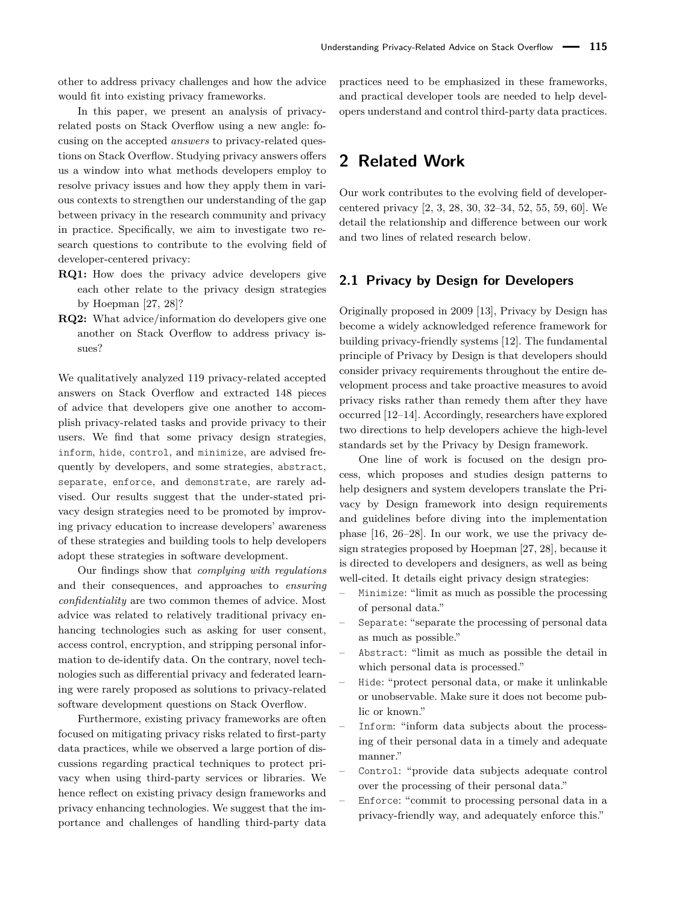other to address privacy challenges and how the advice would fit into existing privacy frameworks.

In this paper, we present an analysis of privacyrelated posts on Stack Overflow using a new angle: focusing on the accepted *answers* to privacy-related questions on Stack Overflow. Studying privacy answers offers us a window into what methods developers employ to resolve privacy issues and how they apply them in various contexts to strengthen our understanding of the gap between privacy in the research community and privacy in practice. Specifically, we aim to investigate two research questions to contribute to the evolving field of developer-centered privacy:

- **RQ1:** How does the privacy advice developers give each other relate to the privacy design strategies by Hoepman [\[27,](#page-15-4) [28\]](#page-15-3)?
- **RQ2:** What advice/information do developers give one another on Stack Overflow to address privacy issues?

We qualitatively analyzed 119 privacy-related accepted answers on Stack Overflow and extracted 148 pieces of advice that developers give one another to accomplish privacy-related tasks and provide privacy to their users. We find that some privacy design strategies, inform, hide, control, and minimize, are advised frequently by developers, and some strategies, abstract, separate, enforce, and demonstrate, are rarely advised. Our results suggest that the under-stated privacy design strategies need to be promoted by improving privacy education to increase developers' awareness of these strategies and building tools to help developers adopt these strategies in software development.

Our findings show that *complying with regulations* and their consequences, and approaches to *ensuring confidentiality* are two common themes of advice. Most advice was related to relatively traditional privacy enhancing technologies such as asking for user consent, access control, encryption, and stripping personal information to de-identify data. On the contrary, novel technologies such as differential privacy and federated learning were rarely proposed as solutions to privacy-related software development questions on Stack Overflow.

Furthermore, existing privacy frameworks are often focused on mitigating privacy risks related to first-party data practices, while we observed a large portion of discussions regarding practical techniques to protect privacy when using third-party services or libraries. We hence reflect on existing privacy design frameworks and privacy enhancing technologies. We suggest that the importance and challenges of handling third-party data practices need to be emphasized in these frameworks, and practical developer tools are needed to help developers understand and control third-party data practices.

# **2 Related Work**

Our work contributes to the evolving field of developercentered privacy [\[2,](#page-14-3) [3,](#page-14-4) [28,](#page-15-3) [30,](#page-15-8) [32–](#page-15-9)[34,](#page-15-10) [52,](#page-16-9) [55,](#page-16-10) [59,](#page-17-5) [60\]](#page-17-3). We detail the relationship and difference between our work and two lines of related research below.

# <span id="page-1-0"></span>**2.1 Privacy by Design for Developers**

Originally proposed in 2009 [\[13\]](#page-15-1), Privacy by Design has become a widely acknowledged reference framework for building privacy-friendly systems [\[12\]](#page-15-11). The fundamental principle of Privacy by Design is that developers should consider privacy requirements throughout the entire development process and take proactive measures to avoid privacy risks rather than remedy them after they have occurred [\[12–](#page-15-11)[14\]](#page-15-2). Accordingly, researchers have explored two directions to help developers achieve the high-level standards set by the Privacy by Design framework.

One line of work is focused on the design process, which proposes and studies design patterns to help designers and system developers translate the Privacy by Design framework into design requirements and guidelines before diving into the implementation phase [\[16,](#page-15-12) [26–](#page-15-13)[28\]](#page-15-3). In our work, we use the privacy design strategies proposed by Hoepman [\[27,](#page-15-4) [28\]](#page-15-3), because it is directed to developers and designers, as well as being well-cited. It details eight privacy design strategies:

- Minimize: "limit as much as possible the processing of personal data."
- Separate: "separate the processing of personal data as much as possible."
- Abstract: "limit as much as possible the detail in which personal data is processed."
- Hide: "protect personal data, or make it unlinkable or unobservable. Make sure it does not become public or known."
- Inform: "inform data subjects about the processing of their personal data in a timely and adequate manner."
- Control: "provide data subjects adequate control over the processing of their personal data."
- Enforce: "commit to processing personal data in a privacy-friendly way, and adequately enforce this."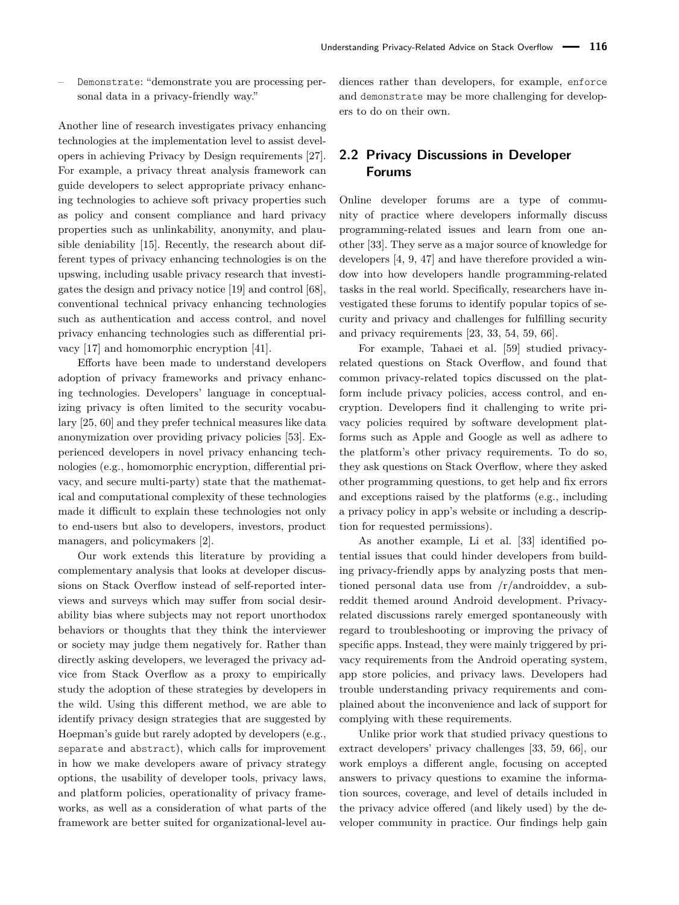– Demonstrate: "demonstrate you are processing personal data in a privacy-friendly way."

Another line of research investigates privacy enhancing technologies at the implementation level to assist developers in achieving Privacy by Design requirements [\[27\]](#page-15-4). For example, a privacy threat analysis framework can guide developers to select appropriate privacy enhancing technologies to achieve soft privacy properties such as policy and consent compliance and hard privacy properties such as unlinkability, anonymity, and plausible deniability [\[15\]](#page-15-14). Recently, the research about different types of privacy enhancing technologies is on the upswing, including usable privacy research that investigates the design and privacy notice [\[19\]](#page-15-15) and control [\[68\]](#page-17-6), conventional technical privacy enhancing technologies such as authentication and access control, and novel privacy enhancing technologies such as differential privacy [\[17\]](#page-15-16) and homomorphic encryption [\[41\]](#page-16-11).

Efforts have been made to understand developers adoption of privacy frameworks and privacy enhancing technologies. Developers' language in conceptualizing privacy is often limited to the security vocabulary [\[25,](#page-15-17) [60\]](#page-17-3) and they prefer technical measures like data anonymization over providing privacy policies [\[53\]](#page-16-12). Experienced developers in novel privacy enhancing technologies (e.g., homomorphic encryption, differential privacy, and secure multi-party) state that the mathematical and computational complexity of these technologies made it difficult to explain these technologies not only to end-users but also to developers, investors, product managers, and policymakers [\[2\]](#page-14-3).

Our work extends this literature by providing a complementary analysis that looks at developer discussions on Stack Overflow instead of self-reported interviews and surveys which may suffer from social desirability bias where subjects may not report unorthodox behaviors or thoughts that they think the interviewer or society may judge them negatively for. Rather than directly asking developers, we leveraged the privacy advice from Stack Overflow as a proxy to empirically study the adoption of these strategies by developers in the wild. Using this different method, we are able to identify privacy design strategies that are suggested by Hoepman's guide but rarely adopted by developers (e.g., separate and abstract), which calls for improvement in how we make developers aware of privacy strategy options, the usability of developer tools, privacy laws, and platform policies, operationality of privacy frameworks, as well as a consideration of what parts of the framework are better suited for organizational-level audiences rather than developers, for example, enforce and demonstrate may be more challenging for developers to do on their own.

# **2.2 Privacy Discussions in Developer Forums**

Online developer forums are a type of community of practice where developers informally discuss programming-related issues and learn from one another [\[33\]](#page-15-5). They serve as a major source of knowledge for developers [\[4,](#page-14-0) [9,](#page-14-1) [47\]](#page-16-7) and have therefore provided a window into how developers handle programming-related tasks in the real world. Specifically, researchers have investigated these forums to identify popular topics of security and privacy and challenges for fulfilling security and privacy requirements [\[23,](#page-15-18) [33,](#page-15-5) [54,](#page-16-13) [59,](#page-17-5) [66\]](#page-17-7).

For example, Tahaei et al. [\[59\]](#page-17-5) studied privacyrelated questions on Stack Overflow, and found that common privacy-related topics discussed on the platform include privacy policies, access control, and encryption. Developers find it challenging to write privacy policies required by software development platforms such as Apple and Google as well as adhere to the platform's other privacy requirements. To do so, they ask questions on Stack Overflow, where they asked other programming questions, to get help and fix errors and exceptions raised by the platforms (e.g., including a privacy policy in app's website or including a description for requested permissions).

As another example, Li et al. [\[33\]](#page-15-5) identified potential issues that could hinder developers from building privacy-friendly apps by analyzing posts that mentioned personal data use from /r/androiddev, a subreddit themed around Android development. Privacyrelated discussions rarely emerged spontaneously with regard to troubleshooting or improving the privacy of specific apps. Instead, they were mainly triggered by privacy requirements from the Android operating system, app store policies, and privacy laws. Developers had trouble understanding privacy requirements and complained about the inconvenience and lack of support for complying with these requirements.

Unlike prior work that studied privacy questions to extract developers' privacy challenges [\[33,](#page-15-5) [59,](#page-17-5) [66\]](#page-17-7), our work employs a different angle, focusing on accepted answers to privacy questions to examine the information sources, coverage, and level of details included in the privacy advice offered (and likely used) by the developer community in practice. Our findings help gain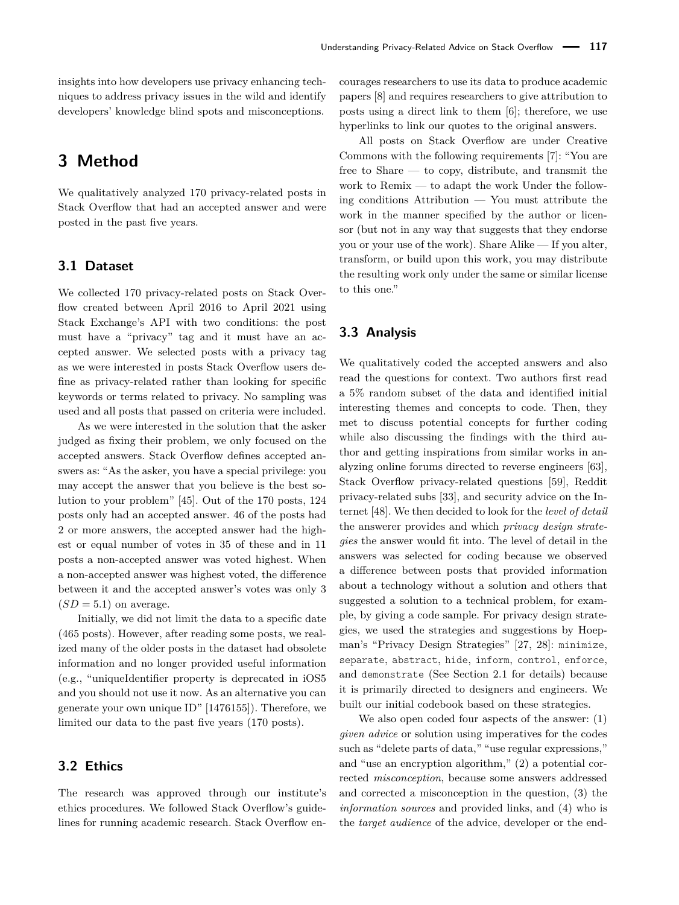insights into how developers use privacy enhancing techniques to address privacy issues in the wild and identify developers' knowledge blind spots and misconceptions.

# **3 Method**

We qualitatively analyzed 170 privacy-related posts in Stack Overflow that had an accepted answer and were posted in the past five years.

# **3.1 Dataset**

We collected 170 privacy-related posts on Stack Overflow created between April 2016 to April 2021 using Stack Exchange's API with two conditions: the post must have a "privacy" tag and it must have an accepted answer. We selected posts with a privacy tag as we were interested in posts Stack Overflow users define as privacy-related rather than looking for specific keywords or terms related to privacy. No sampling was used and all posts that passed on criteria were included.

As we were interested in the solution that the asker judged as fixing their problem, we only focused on the accepted answers. Stack Overflow defines accepted answers as: "As the asker, you have a special privilege: you may accept the answer that you believe is the best solution to your problem" [\[45\]](#page-16-14). Out of the 170 posts, 124 posts only had an accepted answer. 46 of the posts had 2 or more answers, the accepted answer had the highest or equal number of votes in 35 of these and in 11 posts a non-accepted answer was voted highest. When a non-accepted answer was highest voted, the difference between it and the accepted answer's votes was only 3  $(SD = 5.1)$  on average.

Initially, we did not limit the data to a specific date (465 posts). However, after reading some posts, we realized many of the older posts in the dataset had obsolete information and no longer provided useful information (e.g., "uniqueIdentifier property is deprecated in iOS5 and you should not use it now. As an alternative you can generate your own unique ID" [\[1476155\]](https://api.stackexchange.com/2.3/answers/1476155?site=stackoverflow)). Therefore, we limited our data to the past five years (170 posts).

# **3.2 Ethics**

The research was approved through our institute's ethics procedures. We followed Stack Overflow's guidelines for running academic research. Stack Overflow encourages researchers to use its data to produce academic papers [\[8\]](#page-14-5) and requires researchers to give attribution to posts using a direct link to them [\[6\]](#page-14-6); therefore, we use hyperlinks to link our quotes to the original answers.

All posts on Stack Overflow are under Creative Commons with the following requirements [\[7\]](#page-14-7): "You are free to Share — to copy, distribute, and transmit the work to Remix — to adapt the work Under the following conditions Attribution — You must attribute the work in the manner specified by the author or licensor (but not in any way that suggests that they endorse you or your use of the work). Share Alike — If you alter, transform, or build upon this work, you may distribute the resulting work only under the same or similar license to this one."

# **3.3 Analysis**

We qualitatively coded the accepted answers and also read the questions for context. Two authors first read a 5% random subset of the data and identified initial interesting themes and concepts to code. Then, they met to discuss potential concepts for further coding while also discussing the findings with the third author and getting inspirations from similar works in analyzing online forums directed to reverse engineers [\[63\]](#page-17-8), Stack Overflow privacy-related questions [\[59\]](#page-17-5), Reddit privacy-related subs [\[33\]](#page-15-5), and security advice on the Internet [\[48\]](#page-16-8). We then decided to look for the *level of detail* the answerer provides and which *privacy design strategies* the answer would fit into. The level of detail in the answers was selected for coding because we observed a difference between posts that provided information about a technology without a solution and others that suggested a solution to a technical problem, for example, by giving a code sample. For privacy design strategies, we used the strategies and suggestions by Hoepman's "Privacy Design Strategies" [\[27,](#page-15-4) [28\]](#page-15-3): minimize, separate, abstract, hide, inform, control, enforce, and demonstrate (See Section [2.1](#page-1-0) for details) because it is primarily directed to designers and engineers. We built our initial codebook based on these strategies.

We also open coded four aspects of the answer: (1) *given advice* or solution using imperatives for the codes such as "delete parts of data," "use regular expressions," and "use an encryption algorithm," (2) a potential corrected *misconception*, because some answers addressed and corrected a misconception in the question, (3) the *information sources* and provided links, and (4) who is the *target audience* of the advice, developer or the end-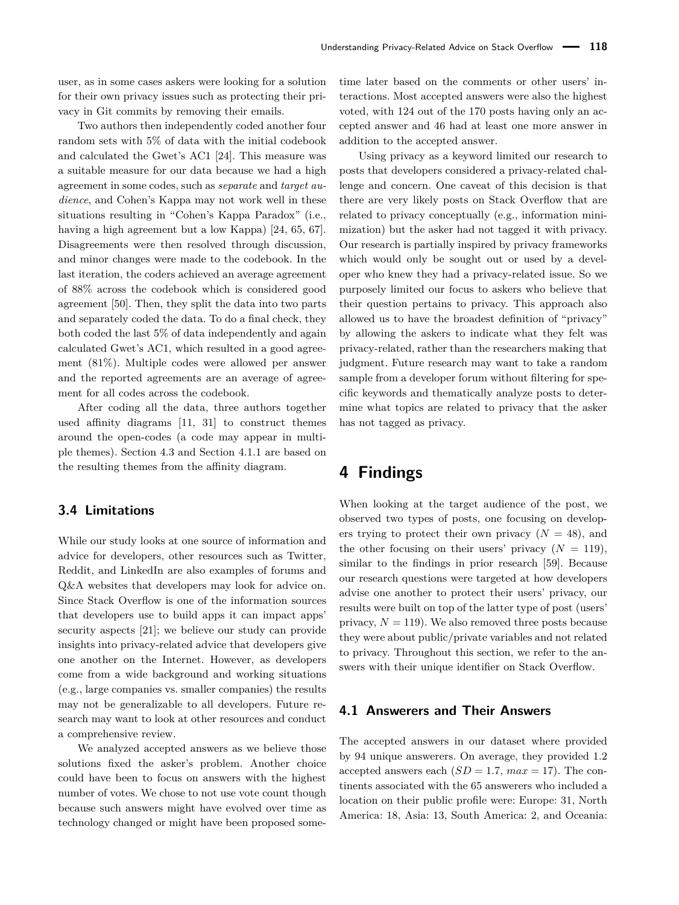user, as in some cases askers were looking for a solution for their own privacy issues such as protecting their privacy in Git commits by removing their emails.

Two authors then independently coded another four random sets with 5% of data with the initial codebook and calculated the Gwet's AC1 [\[24\]](#page-15-19). This measure was a suitable measure for our data because we had a high agreement in some codes, such as *separate* and *target audience*, and Cohen's Kappa may not work well in these situations resulting in "Cohen's Kappa Paradox" (i.e., having a high agreement but a low Kappa) [\[24,](#page-15-19) [65,](#page-17-9) [67\]](#page-17-10). Disagreements were then resolved through discussion, and minor changes were made to the codebook. In the last iteration, the coders achieved an average agreement of 88% across the codebook which is considered good agreement [\[50\]](#page-16-15). Then, they split the data into two parts and separately coded the data. To do a final check, they both coded the last 5% of data independently and again calculated Gwet's AC1, which resulted in a good agreement (81%). Multiple codes were allowed per answer and the reported agreements are an average of agreement for all codes across the codebook.

After coding all the data, three authors together used affinity diagrams [\[11,](#page-15-20) [31\]](#page-15-21) to construct themes around the open-codes (a code may appear in multiple themes). Section [4.3](#page-6-0) and Section [4.1.1](#page-5-0) are based on the resulting themes from the affinity diagram.

# **3.4 Limitations**

While our study looks at one source of information and advice for developers, other resources such as Twitter, Reddit, and LinkedIn are also examples of forums and Q&A websites that developers may look for advice on. Since Stack Overflow is one of the information sources that developers use to build apps it can impact apps' security aspects [\[21\]](#page-15-6); we believe our study can provide insights into privacy-related advice that developers give one another on the Internet. However, as developers come from a wide background and working situations (e.g., large companies vs. smaller companies) the results may not be generalizable to all developers. Future research may want to look at other resources and conduct a comprehensive review.

We analyzed accepted answers as we believe those solutions fixed the asker's problem. Another choice could have been to focus on answers with the highest number of votes. We chose to not use vote count though because such answers might have evolved over time as technology changed or might have been proposed sometime later based on the comments or other users' interactions. Most accepted answers were also the highest voted, with 124 out of the 170 posts having only an accepted answer and 46 had at least one more answer in addition to the accepted answer.

Using privacy as a keyword limited our research to posts that developers considered a privacy-related challenge and concern. One caveat of this decision is that there are very likely posts on Stack Overflow that are related to privacy conceptually (e.g., information minimization) but the asker had not tagged it with privacy. Our research is partially inspired by privacy frameworks which would only be sought out or used by a developer who knew they had a privacy-related issue. So we purposely limited our focus to askers who believe that their question pertains to privacy. This approach also allowed us to have the broadest definition of "privacy" by allowing the askers to indicate what they felt was privacy-related, rather than the researchers making that judgment. Future research may want to take a random sample from a developer forum without filtering for specific keywords and thematically analyze posts to determine what topics are related to privacy that the asker has not tagged as privacy.

# **4 Findings**

When looking at the target audience of the post, we observed two types of posts, one focusing on developers trying to protect their own privacy  $(N = 48)$ , and the other focusing on their users' privacy  $(N = 119)$ , similar to the findings in prior research [\[59\]](#page-17-5). Because our research questions were targeted at how developers advise one another to protect their users' privacy, our results were built on top of the latter type of post (users' privacy,  $N = 119$ ). We also removed three posts because they were about public/private variables and not related to privacy. Throughout this section, we refer to the answers with their unique identifier on Stack Overflow.

### **4.1 Answerers and Their Answers**

The accepted answers in our dataset where provided by 94 unique answerers. On average, they provided 1.2 accepted answers each  $(SD = 1.7, max = 17)$ . The continents associated with the 65 answerers who included a location on their public profile were: Europe: 31, North America: 18, Asia: 13, South America: 2, and Oceania: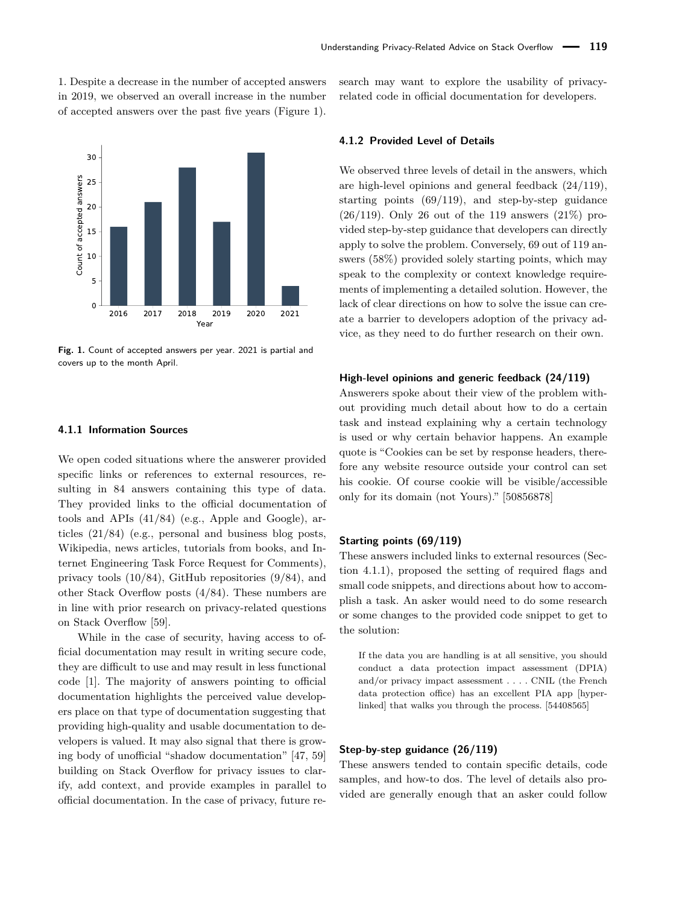1. Despite a decrease in the number of accepted answers in 2019, we observed an overall increase in the number of accepted answers over the past five years (Figure [1\)](#page-5-1).

<span id="page-5-1"></span>

**Fig. 1.** Count of accepted answers per year. 2021 is partial and covers up to the month April.

#### <span id="page-5-0"></span>**4.1.1 Information Sources**

We open coded situations where the answerer provided specific links or references to external resources, resulting in 84 answers containing this type of data. They provided links to the official documentation of tools and APIs (41/84) (e.g., Apple and Google), articles (21/84) (e.g., personal and business blog posts, Wikipedia, news articles, tutorials from books, and Internet Engineering Task Force Request for Comments), privacy tools (10/84), GitHub repositories (9/84), and other Stack Overflow posts (4/84). These numbers are in line with prior research on privacy-related questions on Stack Overflow [\[59\]](#page-17-5).

While in the case of security, having access to official documentation may result in writing secure code, they are difficult to use and may result in less functional code [\[1\]](#page-14-2). The majority of answers pointing to official documentation highlights the perceived value developers place on that type of documentation suggesting that providing high-quality and usable documentation to developers is valued. It may also signal that there is growing body of unofficial "shadow documentation" [\[47,](#page-16-7) [59\]](#page-17-5) building on Stack Overflow for privacy issues to clarify, add context, and provide examples in parallel to official documentation. In the case of privacy, future research may want to explore the usability of privacyrelated code in official documentation for developers.

#### **4.1.2 Provided Level of Details**

We observed three levels of detail in the answers, which are high-level opinions and general feedback (24/119), starting points (69/119), and step-by-step guidance  $(26/119)$ . Only 26 out of the 119 answers  $(21\%)$  provided step-by-step guidance that developers can directly apply to solve the problem. Conversely, 69 out of 119 answers (58%) provided solely starting points, which may speak to the complexity or context knowledge requirements of implementing a detailed solution. However, the lack of clear directions on how to solve the issue can create a barrier to developers adoption of the privacy advice, as they need to do further research on their own.

#### **High-level opinions and generic feedback (24/119)**

Answerers spoke about their view of the problem without providing much detail about how to do a certain task and instead explaining why a certain technology is used or why certain behavior happens. An example quote is "Cookies can be set by response headers, therefore any website resource outside your control can set his cookie. Of course cookie will be visible/accessible only for its domain (not Yours)." [\[50856878\]](https://api.stackexchange.com/2.3/answers/50856878?site=stackoverflow)

#### **Starting points (69/119)**

These answers included links to external resources (Section [4.1.1\)](#page-5-0), proposed the setting of required flags and small code snippets, and directions about how to accomplish a task. An asker would need to do some research or some changes to the provided code snippet to get to the solution:

If the data you are handling is at all sensitive, you should conduct a data protection impact assessment (DPIA) and/or privacy impact assessment . . . . CNIL (the French data protection office) has an excellent PIA app [hyperlinked] that walks you through the process. [\[54408565\]](https://api.stackexchange.com/2.3/answers/54408565?site=stackoverflow)

#### **Step-by-step guidance (26/119)**

These answers tended to contain specific details, code samples, and how-to dos. The level of details also provided are generally enough that an asker could follow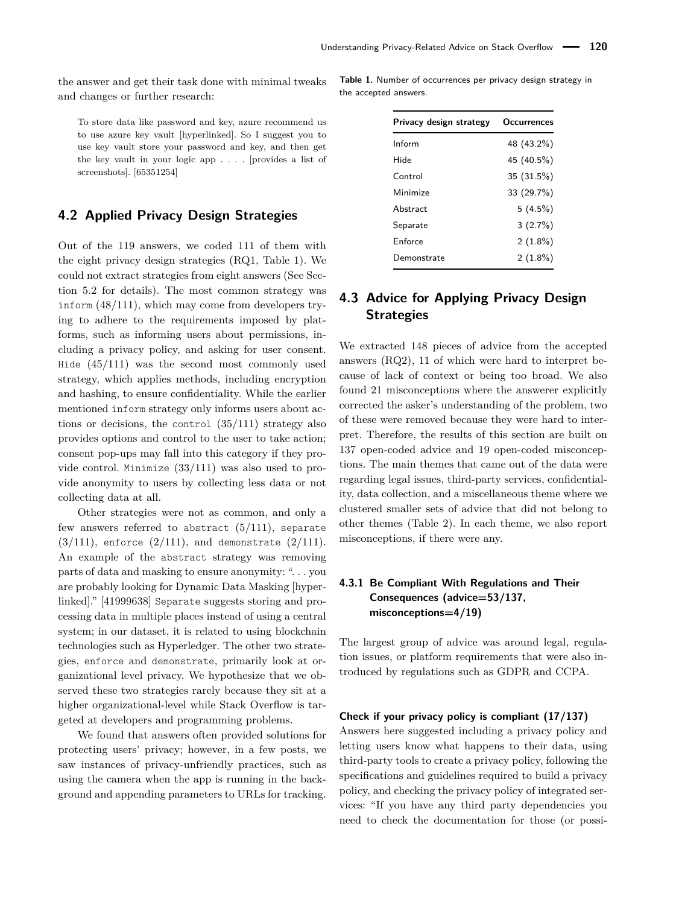the answer and get their task done with minimal tweaks and changes or further research:

To store data like password and key, azure recommend us to use azure key vault [hyperlinked]. So I suggest you to use key vault store your password and key, and then get the key vault in your logic app . . . . [provides a list of screenshots]. [\[65351254\]](https://api.stackexchange.com/2.3/answers/65351254?site=stackoverflow)

# **4.2 Applied Privacy Design Strategies**

Out of the 119 answers, we coded 111 of them with the eight privacy design strategies (RQ1, Table [1\)](#page-6-1). We could not extract strategies from eight answers (See Section [5.2](#page-12-0) for details). The most common strategy was inform (48/111), which may come from developers trying to adhere to the requirements imposed by platforms, such as informing users about permissions, including a privacy policy, and asking for user consent. Hide (45/111) was the second most commonly used strategy, which applies methods, including encryption and hashing, to ensure confidentiality. While the earlier mentioned inform strategy only informs users about actions or decisions, the control (35/111) strategy also provides options and control to the user to take action; consent pop-ups may fall into this category if they provide control. Minimize (33/111) was also used to provide anonymity to users by collecting less data or not collecting data at all.

Other strategies were not as common, and only a few answers referred to abstract  $(5/111)$ , separate  $(3/111)$ , enforce  $(2/111)$ , and demonstrate  $(2/111)$ . An example of the abstract strategy was removing parts of data and masking to ensure anonymity: ". . . you are probably looking for Dynamic Data Masking [hyperlinked]." [\[41999638\]](https://api.stackexchange.com/2.3/answers/41999638?site=stackoverflow) Separate suggests storing and processing data in multiple places instead of using a central system; in our dataset, it is related to using blockchain technologies such as Hyperledger. The other two strategies, enforce and demonstrate, primarily look at organizational level privacy. We hypothesize that we observed these two strategies rarely because they sit at a higher organizational-level while Stack Overflow is targeted at developers and programming problems.

We found that answers often provided solutions for protecting users' privacy; however, in a few posts, we saw instances of privacy-unfriendly practices, such as using the camera when the app is running in the background and appending parameters to URLs for tracking.

<span id="page-6-1"></span>**Table 1.** Number of occurrences per privacy design strategy in the accepted answers.

| Privacy design strategy | Occurrences |
|-------------------------|-------------|
| Inform                  | 48 (43.2%)  |
| Hide                    | 45 (40.5%)  |
| Control                 | 35 (31.5%)  |
| Minimize                | 33 (29.7%)  |
| Abstract                | 5(4.5%)     |
| Separate                | 3(2.7%)     |
| Enforce                 | $2(1.8\%)$  |
| )emonstrate             | $2(1.8\%)$  |

# <span id="page-6-0"></span>**4.3 Advice for Applying Privacy Design Strategies**

We extracted 148 pieces of advice from the accepted answers (RQ2), 11 of which were hard to interpret because of lack of context or being too broad. We also found 21 misconceptions where the answerer explicitly corrected the asker's understanding of the problem, two of these were removed because they were hard to interpret. Therefore, the results of this section are built on 137 open-coded advice and 19 open-coded misconceptions. The main themes that came out of the data were regarding legal issues, third-party services, confidentiality, data collection, and a miscellaneous theme where we clustered smaller sets of advice that did not belong to other themes (Table [2\)](#page-7-0). In each theme, we also report misconceptions, if there were any.

# **4.3.1 Be Compliant With Regulations and Their Consequences (advice=53/137, misconceptions=4/19)**

The largest group of advice was around legal, regulation issues, or platform requirements that were also introduced by regulations such as GDPR and CCPA.

#### **Check if your privacy policy is compliant (17/137)**

Answers here suggested including a privacy policy and letting users know what happens to their data, using third-party tools to create a privacy policy, following the specifications and guidelines required to build a privacy policy, and checking the privacy policy of integrated services: "If you have any third party dependencies you need to check the documentation for those (or possi-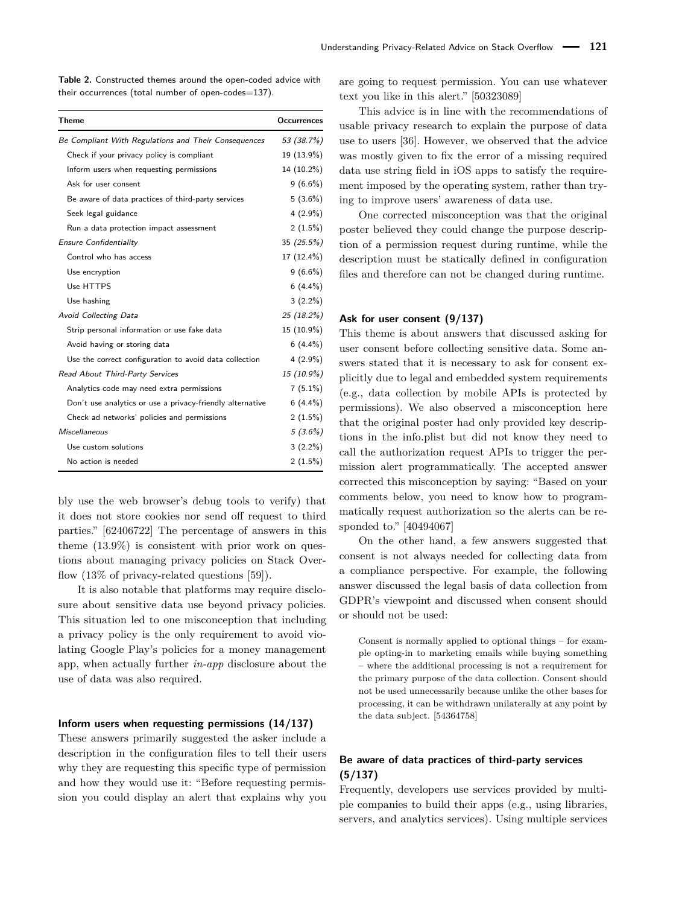<span id="page-7-0"></span>**Table 2.** Constructed themes around the open-coded advice with their occurrences (total number of open-codes=137).

| <b>Theme</b>                                              | <b>Occurrences</b> |
|-----------------------------------------------------------|--------------------|
| Be Compliant With Regulations and Their Consequences      | 53 (38.7%)         |
| Check if your privacy policy is compliant                 | 19 (13.9%)         |
| Inform users when requesting permissions                  | 14 (10.2%)         |
| Ask for user consent                                      | $9(6.6\%)$         |
| Be aware of data practices of third-party services        | $5(3.6\%)$         |
| Seek legal guidance                                       | $4(2.9\%)$         |
| Run a data protection impact assessment                   | 2(1.5%)            |
| Ensure Confidentiality                                    | 35 $(25.5%)$       |
| Control who has access                                    | 17 (12.4%)         |
| Use encryption                                            | $9(6.6\%)$         |
| Use HTTPS                                                 | $6(4.4\%)$         |
| Use hashing                                               | $3(2.2\%)$         |
| Avoid Collecting Data                                     | 25 (18.2%)         |
| Strip personal information or use fake data               | 15 (10.9%)         |
| Avoid having or storing data                              | $6(4.4\%)$         |
| Use the correct configuration to avoid data collection    | $4(2.9\%)$         |
| Read About Third-Party Services                           | 15 (10.9%)         |
| Analytics code may need extra permissions                 | $7(5.1\%)$         |
| Don't use analytics or use a privacy-friendly alternative | $6(4.4\%)$         |
| Check ad networks' policies and permissions               | 2(1.5%)            |
| <b>Miscellaneous</b>                                      | $5(3.6\%)$         |
| Use custom solutions                                      | $3(2.2\%)$         |
| No action is needed                                       | 2(1.5%)            |

bly use the web browser's debug tools to verify) that it does not store cookies nor send off request to third parties." [\[62406722\]](https://api.stackexchange.com/2.3/answers/62406722?site=stackoverflow) The percentage of answers in this theme  $(13.9\%)$  is consistent with prior work on questions about managing privacy policies on Stack Overflow (13% of privacy-related questions [\[59\]](#page-17-5)).

It is also notable that platforms may require disclosure about sensitive data use beyond privacy policies. This situation led to one misconception that including a privacy policy is the only requirement to avoid violating Google Play's policies for a money management app, when actually further *in-app* disclosure about the use of data was also required.

#### **Inform users when requesting permissions (14/137)**

These answers primarily suggested the asker include a description in the configuration files to tell their users why they are requesting this specific type of permission and how they would use it: "Before requesting permission you could display an alert that explains why you

are going to request permission. You can use whatever text you like in this alert." [\[50323089\]](https://api.stackexchange.com/2.3/answers/50323089?site=stackoverflow)

This advice is in line with the recommendations of usable privacy research to explain the purpose of data use to users [\[36\]](#page-16-16). However, we observed that the advice was mostly given to fix the error of a missing required data use string field in iOS apps to satisfy the requirement imposed by the operating system, rather than trying to improve users' awareness of data use.

One corrected misconception was that the original poster believed they could change the purpose description of a permission request during runtime, while the description must be statically defined in configuration files and therefore can not be changed during runtime.

#### **Ask for user consent (9/137)**

This theme is about answers that discussed asking for user consent before collecting sensitive data. Some answers stated that it is necessary to ask for consent explicitly due to legal and embedded system requirements (e.g., data collection by mobile APIs is protected by permissions). We also observed a misconception here that the original poster had only provided key descriptions in the info.plist but did not know they need to call the authorization request APIs to trigger the permission alert programmatically. The accepted answer corrected this misconception by saying: "Based on your comments below, you need to know how to programmatically request authorization so the alerts can be responded to." [\[40494067\]](https://api.stackexchange.com/2.3/answers/40494067?site=stackoverflow)

On the other hand, a few answers suggested that consent is not always needed for collecting data from a compliance perspective. For example, the following answer discussed the legal basis of data collection from GDPR's viewpoint and discussed when consent should or should not be used:

Consent is normally applied to optional things – for example opting-in to marketing emails while buying something – where the additional processing is not a requirement for the primary purpose of the data collection. Consent should not be used unnecessarily because unlike the other bases for processing, it can be withdrawn unilaterally at any point by the data subject. [\[54364758\]](https://api.stackexchange.com/2.3/answers/54364758?site=stackoverflow)

### <span id="page-7-1"></span>**Be aware of data practices of third-party services (5/137)**

Frequently, developers use services provided by multiple companies to build their apps (e.g., using libraries, servers, and analytics services). Using multiple services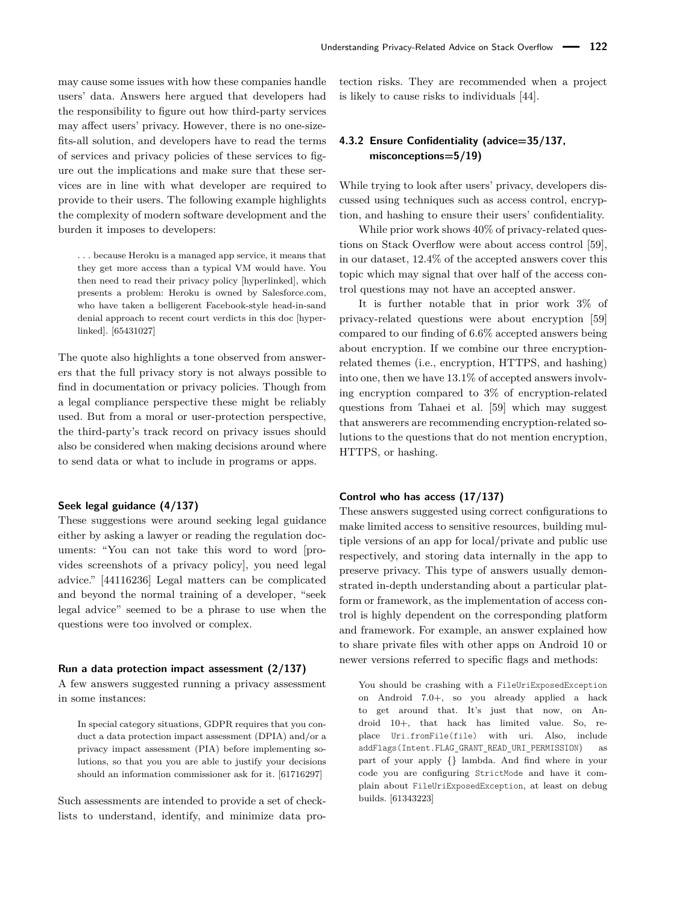may cause some issues with how these companies handle users' data. Answers here argued that developers had the responsibility to figure out how third-party services may affect users' privacy. However, there is no one-sizefits-all solution, and developers have to read the terms of services and privacy policies of these services to figure out the implications and make sure that these services are in line with what developer are required to provide to their users. The following example highlights the complexity of modern software development and the burden it imposes to developers:

. . . because Heroku is a managed app service, it means that they get more access than a typical VM would have. You then need to read their privacy policy [hyperlinked], which presents a problem: Heroku is owned by Salesforce.com, who have taken a belligerent Facebook-style head-in-sand denial approach to recent court verdicts in this doc [hyperlinked]. [\[65431027\]](https://api.stackexchange.com/2.3/answers/65431027?site=stackoverflow)

The quote also highlights a tone observed from answerers that the full privacy story is not always possible to find in documentation or privacy policies. Though from a legal compliance perspective these might be reliably used. But from a moral or user-protection perspective, the third-party's track record on privacy issues should also be considered when making decisions around where to send data or what to include in programs or apps.

#### **Seek legal guidance (4/137)**

These suggestions were around seeking legal guidance either by asking a lawyer or reading the regulation documents: "You can not take this word to word [provides screenshots of a privacy policy], you need legal advice." [\[44116236\]](https://api.stackexchange.com/2.3/answers/44116236?site=stackoverflow) Legal matters can be complicated and beyond the normal training of a developer, "seek legal advice" seemed to be a phrase to use when the questions were too involved or complex.

#### **Run a data protection impact assessment (2/137)**

A few answers suggested running a privacy assessment in some instances:

In special category situations, GDPR requires that you conduct a data protection impact assessment (DPIA) and/or a privacy impact assessment (PIA) before implementing solutions, so that you you are able to justify your decisions should an information commissioner ask for it. [\[61716297\]](https://api.stackexchange.com/2.3/answers/61716297?site=stackoverflow)

Such assessments are intended to provide a set of checklists to understand, identify, and minimize data protection risks. They are recommended when a project is likely to cause risks to individuals [\[44\]](#page-16-17).

# **4.3.2 Ensure Confidentiality (advice=35/137, misconceptions=5/19)**

While trying to look after users' privacy, developers discussed using techniques such as access control, encryption, and hashing to ensure their users' confidentiality.

While prior work shows  $40\%$  of privacy-related questions on Stack Overflow were about access control [\[59\]](#page-17-5), in our dataset, 12.4% of the accepted answers cover this topic which may signal that over half of the access control questions may not have an accepted answer.

It is further notable that in prior work 3% of privacy-related questions were about encryption [\[59\]](#page-17-5) compared to our finding of 6.6% accepted answers being about encryption. If we combine our three encryptionrelated themes (i.e., encryption, HTTPS, and hashing) into one, then we have 13.1% of accepted answers involving encryption compared to 3% of encryption-related questions from Tahaei et al. [\[59\]](#page-17-5) which may suggest that answerers are recommending encryption-related solutions to the questions that do not mention encryption, HTTPS, or hashing.

#### **Control who has access (17/137)**

These answers suggested using correct configurations to make limited access to sensitive resources, building multiple versions of an app for local/private and public use respectively, and storing data internally in the app to preserve privacy. This type of answers usually demonstrated in-depth understanding about a particular platform or framework, as the implementation of access control is highly dependent on the corresponding platform and framework. For example, an answer explained how to share private files with other apps on Android 10 or newer versions referred to specific flags and methods:

You should be crashing with a FileUriExposedException on Android 7.0+, so you already applied a hack to get around that. It's just that now, on Android 10+, that hack has limited value. So, replace Uri.fromFile(file) with uri. Also, include addFlags(Intent.FLAG\_GRANT\_READ\_URI\_PERMISSION) as part of your apply {} lambda. And find where in your code you are configuring StrictMode and have it complain about FileUriExposedException, at least on debug builds. [\[61343223\]](https://api.stackexchange.com/2.3/answers/61343223?site=stackoverflow)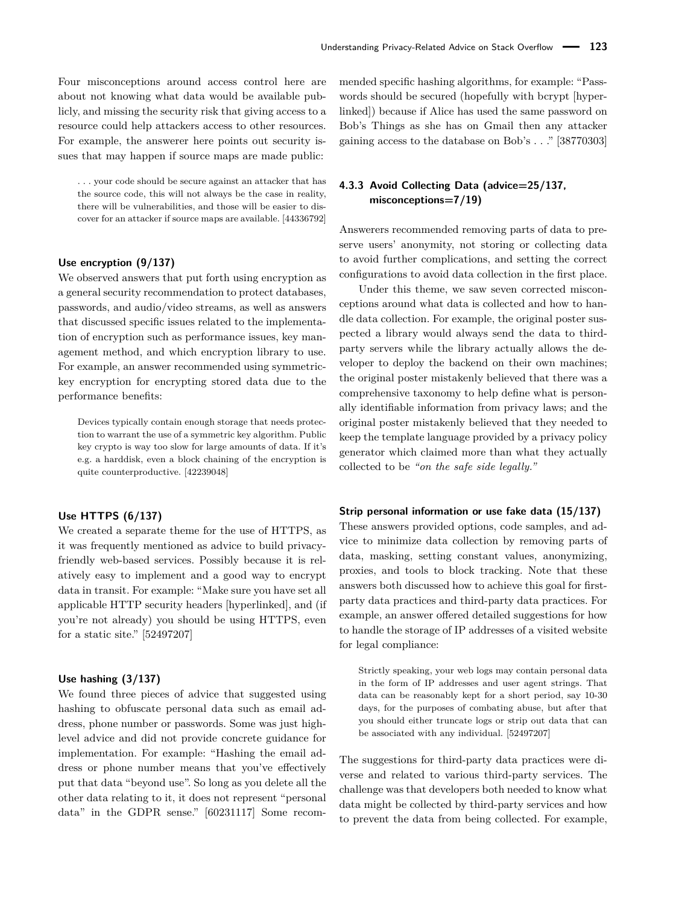Four misconceptions around access control here are about not knowing what data would be available publicly, and missing the security risk that giving access to a resource could help attackers access to other resources. For example, the answerer here points out security issues that may happen if source maps are made public:

. . . your code should be secure against an attacker that has the source code, this will not always be the case in reality, there will be vulnerabilities, and those will be easier to discover for an attacker if source maps are available. [\[44336792\]](https://api.stackexchange.com/2.3/answers/44336792?site=stackoverflow)

#### **Use encryption (9/137)**

We observed answers that put forth using encryption as a general security recommendation to protect databases, passwords, and audio/video streams, as well as answers that discussed specific issues related to the implementation of encryption such as performance issues, key management method, and which encryption library to use. For example, an answer recommended using symmetrickey encryption for encrypting stored data due to the performance benefits:

Devices typically contain enough storage that needs protection to warrant the use of a symmetric key algorithm. Public key crypto is way too slow for large amounts of data. If it's e.g. a harddisk, even a block chaining of the encryption is quite counterproductive. [\[42239048\]](https://api.stackexchange.com/2.3/answers/42239048?site=stackoverflow)

#### **Use HTTPS (6/137)**

We created a separate theme for the use of HTTPS, as it was frequently mentioned as advice to build privacyfriendly web-based services. Possibly because it is relatively easy to implement and a good way to encrypt data in transit. For example: "Make sure you have set all applicable HTTP security headers [hyperlinked], and (if you're not already) you should be using HTTPS, even for a static site." [\[52497207\]](https://api.stackexchange.com/2.3/answers/52497207?site=stackoverflow)

#### **Use hashing (3/137)**

We found three pieces of advice that suggested using hashing to obfuscate personal data such as email address, phone number or passwords. Some was just highlevel advice and did not provide concrete guidance for implementation. For example: "Hashing the email address or phone number means that you've effectively put that data "beyond use". So long as you delete all the other data relating to it, it does not represent "personal data" in the GDPR sense." [\[60231117\]](https://api.stackexchange.com/2.3/answers/60231117?site=stackoverflow) Some recommended specific hashing algorithms, for example: "Passwords should be secured (hopefully with bcrypt [hyperlinked]) because if Alice has used the same password on Bob's Things as she has on Gmail then any attacker gaining access to the database on Bob's . . ." [\[38770303\]](https://api.stackexchange.com/2.3/answers/38770303?site=stackoverflow)

# **4.3.3 Avoid Collecting Data (advice=25/137, misconceptions=7/19)**

Answerers recommended removing parts of data to preserve users' anonymity, not storing or collecting data to avoid further complications, and setting the correct configurations to avoid data collection in the first place.

Under this theme, we saw seven corrected misconceptions around what data is collected and how to handle data collection. For example, the original poster suspected a library would always send the data to thirdparty servers while the library actually allows the developer to deploy the backend on their own machines; the original poster mistakenly believed that there was a comprehensive taxonomy to help define what is personally identifiable information from privacy laws; and the original poster mistakenly believed that they needed to keep the template language provided by a privacy policy generator which claimed more than what they actually collected to be *"on the safe side legally."*

#### <span id="page-9-0"></span>**Strip personal information or use fake data (15/137)**

These answers provided options, code samples, and advice to minimize data collection by removing parts of data, masking, setting constant values, anonymizing, proxies, and tools to block tracking. Note that these answers both discussed how to achieve this goal for firstparty data practices and third-party data practices. For example, an answer offered detailed suggestions for how to handle the storage of IP addresses of a visited website for legal compliance:

Strictly speaking, your web logs may contain personal data in the form of IP addresses and user agent strings. That data can be reasonably kept for a short period, say 10-30 days, for the purposes of combating abuse, but after that you should either truncate logs or strip out data that can be associated with any individual. [\[52497207\]](https://api.stackexchange.com/2.3/answers/52497207?site=stackoverflow)

The suggestions for third-party data practices were diverse and related to various third-party services. The challenge was that developers both needed to know what data might be collected by third-party services and how to prevent the data from being collected. For example,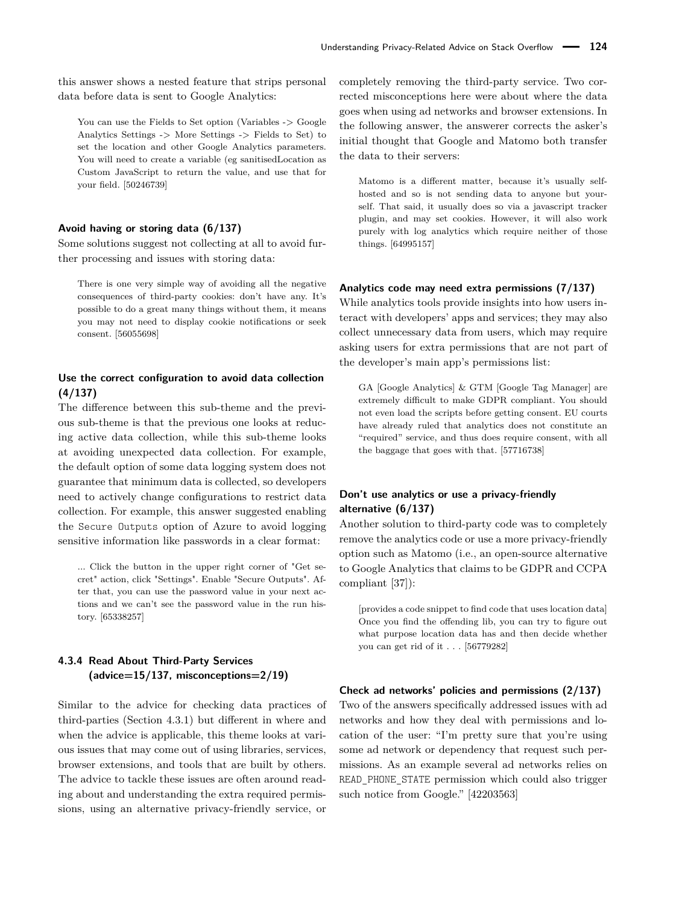this answer shows a nested feature that strips personal data before data is sent to Google Analytics:

You can use the Fields to Set option (Variables -> Google Analytics Settings -> More Settings -> Fields to Set) to set the location and other Google Analytics parameters. You will need to create a variable (eg sanitisedLocation as Custom JavaScript to return the value, and use that for your field. [\[50246739\]](https://api.stackexchange.com/2.3/answers/50246739?site=stackoverflow)

#### **Avoid having or storing data (6/137)**

Some solutions suggest not collecting at all to avoid further processing and issues with storing data:

There is one very simple way of avoiding all the negative consequences of third-party cookies: don't have any. It's possible to do a great many things without them, it means you may not need to display cookie notifications or seek consent. [\[56055698\]](https://api.stackexchange.com/2.3/answers/56055698?site=stackoverflow)

### **Use the correct configuration to avoid data collection (4/137)**

The difference between this sub-theme and the previous sub-theme is that the previous one looks at reducing active data collection, while this sub-theme looks at avoiding unexpected data collection. For example, the default option of some data logging system does not guarantee that minimum data is collected, so developers need to actively change configurations to restrict data collection. For example, this answer suggested enabling the Secure Outputs option of Azure to avoid logging sensitive information like passwords in a clear format:

... Click the button in the upper right corner of "Get secret" action, click "Settings". Enable "Secure Outputs". After that, you can use the password value in your next actions and we can't see the password value in the run history. [\[65338257\]](https://api.stackexchange.com/2.3/answers/65338257?site=stackoverflow)

# <span id="page-10-0"></span>**4.3.4 Read About Third-Party Services (advice=15/137, misconceptions=2/19)**

Similar to the advice for checking data practices of third-parties (Section [4.3.1\)](#page-7-1) but different in where and when the advice is applicable, this theme looks at various issues that may come out of using libraries, services, browser extensions, and tools that are built by others. The advice to tackle these issues are often around reading about and understanding the extra required permissions, using an alternative privacy-friendly service, or

completely removing the third-party service. Two corrected misconceptions here were about where the data goes when using ad networks and browser extensions. In the following answer, the answerer corrects the asker's initial thought that Google and Matomo both transfer the data to their servers:

Matomo is a different matter, because it's usually selfhosted and so is not sending data to anyone but yourself. That said, it usually does so via a javascript tracker plugin, and may set cookies. However, it will also work purely with log analytics which require neither of those things. [\[64995157\]](https://api.stackexchange.com/2.3/answers/64995157?site=stackoverflow)

#### **Analytics code may need extra permissions (7/137)**

While analytics tools provide insights into how users interact with developers' apps and services; they may also collect unnecessary data from users, which may require asking users for extra permissions that are not part of the developer's main app's permissions list:

GA [Google Analytics] & GTM [Google Tag Manager] are extremely difficult to make GDPR compliant. You should not even load the scripts before getting consent. EU courts have already ruled that analytics does not constitute an "required" service, and thus does require consent, with all the baggage that goes with that. [\[57716738\]](https://api.stackexchange.com/2.3/answers/57716738?site=stackoverflow)

# **Don't use analytics or use a privacy-friendly alternative (6/137)**

Another solution to third-party code was to completely remove the analytics code or use a more privacy-friendly option such as Matomo (i.e., an open-source alternative to Google Analytics that claims to be GDPR and CCPA compliant [\[37\]](#page-16-18)):

[provides a code snippet to find code that uses location data] Once you find the offending lib, you can try to figure out what purpose location data has and then decide whether you can get rid of it . . . [\[56779282\]](https://api.stackexchange.com/2.3/answers/56779282?site=stackoverflow)

#### **Check ad networks' policies and permissions (2/137)**

Two of the answers specifically addressed issues with ad networks and how they deal with permissions and location of the user: "I'm pretty sure that you're using some ad network or dependency that request such permissions. As an example several ad networks relies on READ\_PHONE\_STATE permission which could also trigger such notice from Google." [\[42203563\]](https://api.stackexchange.com/2.3/answers/42203563?site=stackoverflow)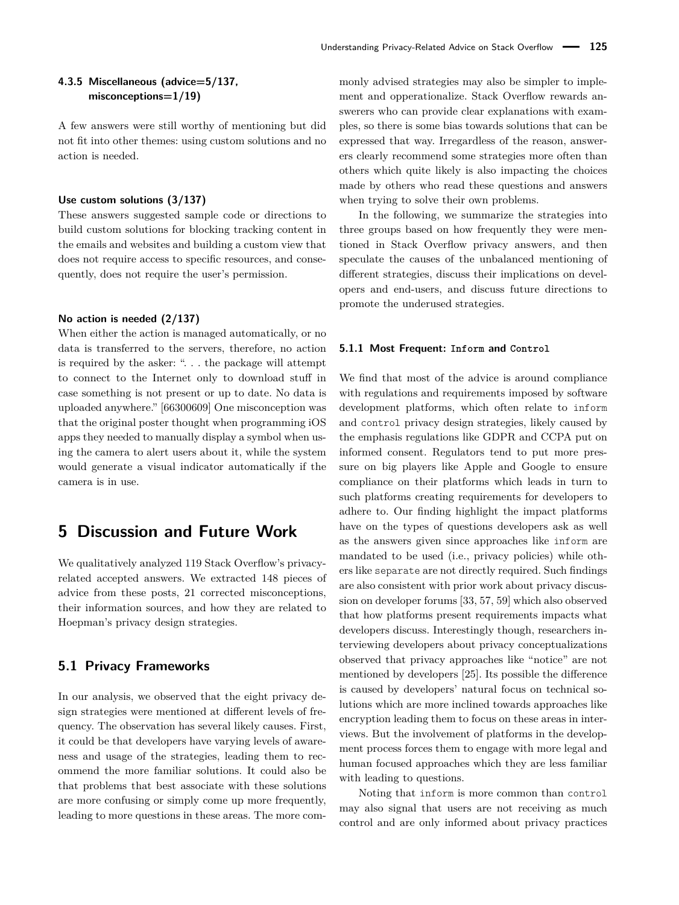### **4.3.5 Miscellaneous (advice=5/137, misconceptions=1/19)**

A few answers were still worthy of mentioning but did not fit into other themes: using custom solutions and no action is needed.

#### **Use custom solutions (3/137)**

These answers suggested sample code or directions to build custom solutions for blocking tracking content in the emails and websites and building a custom view that does not require access to specific resources, and consequently, does not require the user's permission.

#### **No action is needed (2/137)**

When either the action is managed automatically, or no data is transferred to the servers, therefore, no action is required by the asker: ". . . the package will attempt to connect to the Internet only to download stuff in case something is not present or up to date. No data is uploaded anywhere." [\[66300609\]](https://api.stackexchange.com/2.3/answers/66300609?site=stackoverflow) One misconception was that the original poster thought when programming iOS apps they needed to manually display a symbol when using the camera to alert users about it, while the system would generate a visual indicator automatically if the camera is in use.

# **5 Discussion and Future Work**

We qualitatively analyzed 119 Stack Overflow's privacyrelated accepted answers. We extracted 148 pieces of advice from these posts, 21 corrected misconceptions, their information sources, and how they are related to Hoepman's privacy design strategies.

# **5.1 Privacy Frameworks**

In our analysis, we observed that the eight privacy design strategies were mentioned at different levels of frequency. The observation has several likely causes. First, it could be that developers have varying levels of awareness and usage of the strategies, leading them to recommend the more familiar solutions. It could also be that problems that best associate with these solutions are more confusing or simply come up more frequently, leading to more questions in these areas. The more commonly advised strategies may also be simpler to implement and opperationalize. Stack Overflow rewards answerers who can provide clear explanations with examples, so there is some bias towards solutions that can be expressed that way. Irregardless of the reason, answerers clearly recommend some strategies more often than others which quite likely is also impacting the choices made by others who read these questions and answers when trying to solve their own problems.

In the following, we summarize the strategies into three groups based on how frequently they were mentioned in Stack Overflow privacy answers, and then speculate the causes of the unbalanced mentioning of different strategies, discuss their implications on developers and end-users, and discuss future directions to promote the underused strategies.

#### **5.1.1 Most Frequent: Inform and Control**

We find that most of the advice is around compliance with regulations and requirements imposed by software development platforms, which often relate to inform and control privacy design strategies, likely caused by the emphasis regulations like GDPR and CCPA put on informed consent. Regulators tend to put more pressure on big players like Apple and Google to ensure compliance on their platforms which leads in turn to such platforms creating requirements for developers to adhere to. Our finding highlight the impact platforms have on the types of questions developers ask as well as the answers given since approaches like inform are mandated to be used (i.e., privacy policies) while others like separate are not directly required. Such findings are also consistent with prior work about privacy discussion on developer forums [\[33,](#page-15-5) [57,](#page-16-19) [59\]](#page-17-5) which also observed that how platforms present requirements impacts what developers discuss. Interestingly though, researchers interviewing developers about privacy conceptualizations observed that privacy approaches like "notice" are not mentioned by developers [\[25\]](#page-15-17). Its possible the difference is caused by developers' natural focus on technical solutions which are more inclined towards approaches like encryption leading them to focus on these areas in interviews. But the involvement of platforms in the development process forces them to engage with more legal and human focused approaches which they are less familiar with leading to questions.

Noting that inform is more common than control may also signal that users are not receiving as much control and are only informed about privacy practices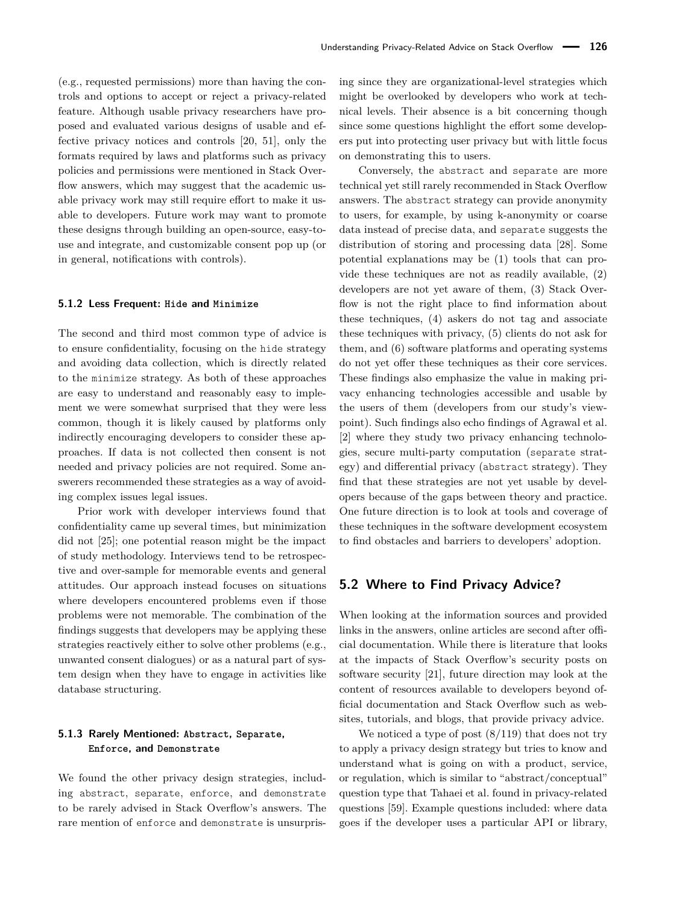(e.g., requested permissions) more than having the controls and options to accept or reject a privacy-related feature. Although usable privacy researchers have proposed and evaluated various designs of usable and effective privacy notices and controls [\[20,](#page-15-22) [51\]](#page-16-20), only the formats required by laws and platforms such as privacy policies and permissions were mentioned in Stack Overflow answers, which may suggest that the academic usable privacy work may still require effort to make it usable to developers. Future work may want to promote these designs through building an open-source, easy-touse and integrate, and customizable consent pop up (or in general, notifications with controls).

#### **5.1.2 Less Frequent: Hide and Minimize**

The second and third most common type of advice is to ensure confidentiality, focusing on the hide strategy and avoiding data collection, which is directly related to the minimize strategy. As both of these approaches are easy to understand and reasonably easy to implement we were somewhat surprised that they were less common, though it is likely caused by platforms only indirectly encouraging developers to consider these approaches. If data is not collected then consent is not needed and privacy policies are not required. Some answerers recommended these strategies as a way of avoiding complex issues legal issues.

Prior work with developer interviews found that confidentiality came up several times, but minimization did not [\[25\]](#page-15-17); one potential reason might be the impact of study methodology. Interviews tend to be retrospective and over-sample for memorable events and general attitudes. Our approach instead focuses on situations where developers encountered problems even if those problems were not memorable. The combination of the findings suggests that developers may be applying these strategies reactively either to solve other problems (e.g., unwanted consent dialogues) or as a natural part of system design when they have to engage in activities like database structuring.

### **5.1.3 Rarely Mentioned: Abstract, Separate, Enforce, and Demonstrate**

We found the other privacy design strategies, including abstract, separate, enforce, and demonstrate to be rarely advised in Stack Overflow's answers. The rare mention of enforce and demonstrate is unsurprising since they are organizational-level strategies which might be overlooked by developers who work at technical levels. Their absence is a bit concerning though since some questions highlight the effort some developers put into protecting user privacy but with little focus on demonstrating this to users.

Conversely, the abstract and separate are more technical yet still rarely recommended in Stack Overflow answers. The abstract strategy can provide anonymity to users, for example, by using k-anonymity or coarse data instead of precise data, and separate suggests the distribution of storing and processing data [\[28\]](#page-15-3). Some potential explanations may be (1) tools that can provide these techniques are not as readily available, (2) developers are not yet aware of them, (3) Stack Overflow is not the right place to find information about these techniques, (4) askers do not tag and associate these techniques with privacy, (5) clients do not ask for them, and (6) software platforms and operating systems do not yet offer these techniques as their core services. These findings also emphasize the value in making privacy enhancing technologies accessible and usable by the users of them (developers from our study's viewpoint). Such findings also echo findings of Agrawal et al. [\[2\]](#page-14-3) where they study two privacy enhancing technologies, secure multi-party computation (separate strategy) and differential privacy (abstract strategy). They find that these strategies are not yet usable by developers because of the gaps between theory and practice. One future direction is to look at tools and coverage of these techniques in the software development ecosystem to find obstacles and barriers to developers' adoption.

### <span id="page-12-0"></span>**5.2 Where to Find Privacy Advice?**

When looking at the information sources and provided links in the answers, online articles are second after official documentation. While there is literature that looks at the impacts of Stack Overflow's security posts on software security [\[21\]](#page-15-6), future direction may look at the content of resources available to developers beyond official documentation and Stack Overflow such as websites, tutorials, and blogs, that provide privacy advice.

We noticed a type of post  $(8/119)$  that does not try to apply a privacy design strategy but tries to know and understand what is going on with a product, service, or regulation, which is similar to "abstract/conceptual" question type that Tahaei et al. found in privacy-related questions [\[59\]](#page-17-5). Example questions included: where data goes if the developer uses a particular API or library,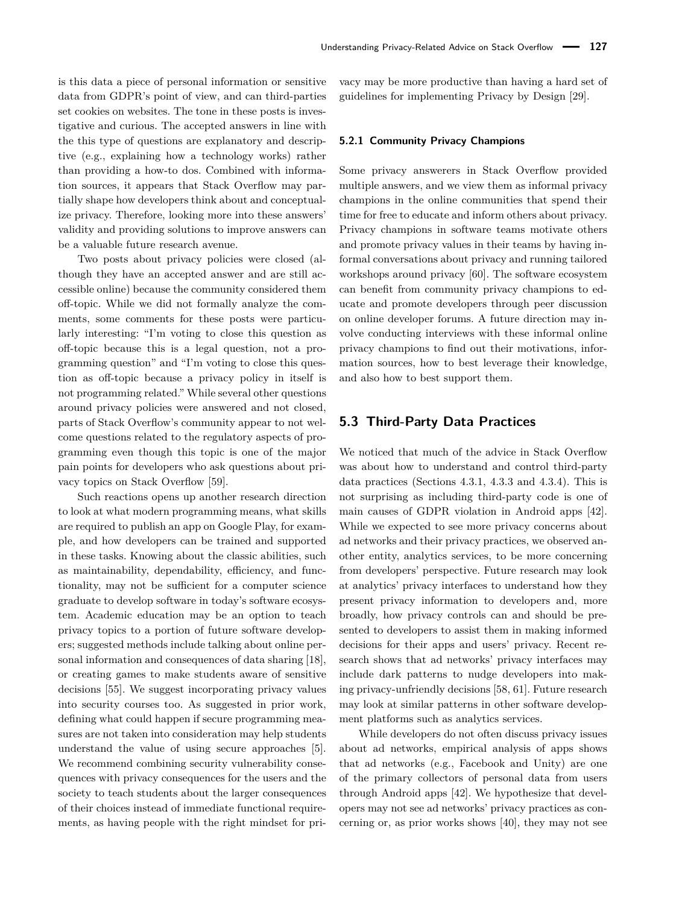is this data a piece of personal information or sensitive data from GDPR's point of view, and can third-parties set cookies on websites. The tone in these posts is investigative and curious. The accepted answers in line with the this type of questions are explanatory and descriptive (e.g., explaining how a technology works) rather than providing a how-to dos. Combined with information sources, it appears that Stack Overflow may partially shape how developers think about and conceptualize privacy. Therefore, looking more into these answers' validity and providing solutions to improve answers can be a valuable future research avenue.

Two posts about privacy policies were closed (although they have an accepted answer and are still accessible online) because the community considered them off-topic. While we did not formally analyze the comments, some comments for these posts were particularly interesting: "I'm voting to close this question as off-topic because this is a legal question, not a programming question" and "I'm voting to close this question as off-topic because a privacy policy in itself is not programming related." While several other questions around privacy policies were answered and not closed, parts of Stack Overflow's community appear to not welcome questions related to the regulatory aspects of programming even though this topic is one of the major pain points for developers who ask questions about privacy topics on Stack Overflow [\[59\]](#page-17-5).

Such reactions opens up another research direction to look at what modern programming means, what skills are required to publish an app on Google Play, for example, and how developers can be trained and supported in these tasks. Knowing about the classic abilities, such as maintainability, dependability, efficiency, and functionality, may not be sufficient for a computer science graduate to develop software in today's software ecosystem. Academic education may be an option to teach privacy topics to a portion of future software developers; suggested methods include talking about online personal information and consequences of data sharing [\[18\]](#page-15-23), or creating games to make students aware of sensitive decisions [\[55\]](#page-16-10). We suggest incorporating privacy values into security courses too. As suggested in prior work, defining what could happen if secure programming measures are not taken into consideration may help students understand the value of using secure approaches [\[5\]](#page-14-8). We recommend combining security vulnerability consequences with privacy consequences for the users and the society to teach students about the larger consequences of their choices instead of immediate functional requirements, as having people with the right mindset for privacy may be more productive than having a hard set of guidelines for implementing Privacy by Design [\[29\]](#page-15-24).

#### **5.2.1 Community Privacy Champions**

Some privacy answerers in Stack Overflow provided multiple answers, and we view them as informal privacy champions in the online communities that spend their time for free to educate and inform others about privacy. Privacy champions in software teams motivate others and promote privacy values in their teams by having informal conversations about privacy and running tailored workshops around privacy [\[60\]](#page-17-3). The software ecosystem can benefit from community privacy champions to educate and promote developers through peer discussion on online developer forums. A future direction may involve conducting interviews with these informal online privacy champions to find out their motivations, information sources, how to best leverage their knowledge, and also how to best support them.

### **5.3 Third-Party Data Practices**

We noticed that much of the advice in Stack Overflow was about how to understand and control third-party data practices (Sections [4.3.1,](#page-7-1) [4.3.3](#page-9-0) and [4.3.4\)](#page-10-0). This is not surprising as including third-party code is one of main causes of GDPR violation in Android apps [\[42\]](#page-16-4). While we expected to see more privacy concerns about ad networks and their privacy practices, we observed another entity, analytics services, to be more concerning from developers' perspective. Future research may look at analytics' privacy interfaces to understand how they present privacy information to developers and, more broadly, how privacy controls can and should be presented to developers to assist them in making informed decisions for their apps and users' privacy. Recent research shows that ad networks' privacy interfaces may include dark patterns to nudge developers into making privacy-unfriendly decisions [\[58,](#page-17-11) [61\]](#page-17-12). Future research may look at similar patterns in other software development platforms such as analytics services.

While developers do not often discuss privacy issues about ad networks, empirical analysis of apps shows that ad networks (e.g., Facebook and Unity) are one of the primary collectors of personal data from users through Android apps [\[42\]](#page-16-4). We hypothesize that developers may not see ad networks' privacy practices as concerning or, as prior works shows [\[40\]](#page-16-21), they may not see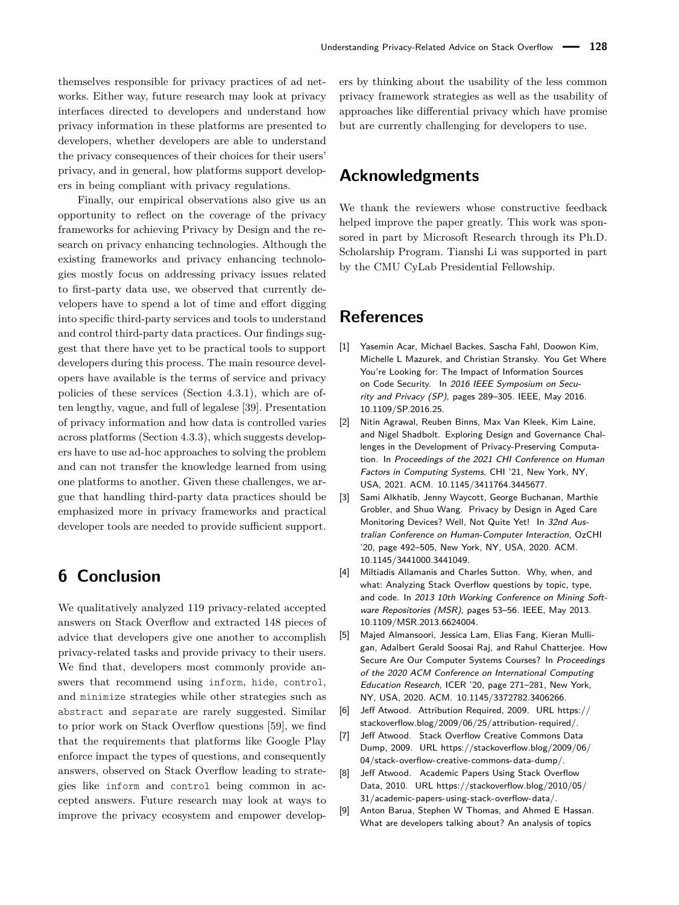themselves responsible for privacy practices of ad networks. Either way, future research may look at privacy interfaces directed to developers and understand how privacy information in these platforms are presented to developers, whether developers are able to understand the privacy consequences of their choices for their users' privacy, and in general, how platforms support developers in being compliant with privacy regulations.

Finally, our empirical observations also give us an opportunity to reflect on the coverage of the privacy frameworks for achieving Privacy by Design and the research on privacy enhancing technologies. Although the existing frameworks and privacy enhancing technologies mostly focus on addressing privacy issues related to first-party data use, we observed that currently developers have to spend a lot of time and effort digging into specific third-party services and tools to understand and control third-party data practices. Our findings suggest that there have yet to be practical tools to support developers during this process. The main resource developers have available is the terms of service and privacy policies of these services (Section [4.3.1\)](#page-7-1), which are often lengthy, vague, and full of legalese [\[39\]](#page-16-22). Presentation of privacy information and how data is controlled varies across platforms (Section [4.3.3\)](#page-9-0), which suggests developers have to use ad-hoc approaches to solving the problem and can not transfer the knowledge learned from using one platforms to another. Given these challenges, we argue that handling third-party data practices should be emphasized more in privacy frameworks and practical developer tools are needed to provide sufficient support.

# **6 Conclusion**

We qualitatively analyzed 119 privacy-related accepted answers on Stack Overflow and extracted 148 pieces of advice that developers give one another to accomplish privacy-related tasks and provide privacy to their users. We find that, developers most commonly provide answers that recommend using inform, hide, control, and minimize strategies while other strategies such as abstract and separate are rarely suggested. Similar to prior work on Stack Overflow questions [\[59\]](#page-17-5), we find that the requirements that platforms like Google Play enforce impact the types of questions, and consequently answers, observed on Stack Overflow leading to strategies like inform and control being common in accepted answers. Future research may look at ways to improve the privacy ecosystem and empower developers by thinking about the usability of the less common privacy framework strategies as well as the usability of approaches like differential privacy which have promise but are currently challenging for developers to use.

# **Acknowledgments**

We thank the reviewers whose constructive feedback helped improve the paper greatly. This work was sponsored in part by Microsoft Research through its Ph.D. Scholarship Program. Tianshi Li was supported in part by the CMU CyLab Presidential Fellowship.

# **References**

- <span id="page-14-2"></span>[1] Yasemin Acar, Michael Backes, Sascha Fahl, Doowon Kim, Michelle L Mazurek, and Christian Stransky. You Get Where You're Looking for: The Impact of Information Sources on Code Security. In 2016 IEEE Symposium on Security and Privacy (SP), pages 289–305. IEEE, May 2016. [10.1109/SP.2016.25.](https://doi.org/10.1109/SP.2016.25)
- <span id="page-14-3"></span>[2] Nitin Agrawal, Reuben Binns, Max Van Kleek, Kim Laine, and Nigel Shadbolt. Exploring Design and Governance Challenges in the Development of Privacy-Preserving Computation. In Proceedings of the 2021 CHI Conference on Human Factors in Computing Systems, CHI '21, New York, NY, USA, 2021. ACM. [10.1145/3411764.3445677.](https://doi.org/10.1145/3411764.3445677)
- <span id="page-14-4"></span>[3] Sami Alkhatib, Jenny Waycott, George Buchanan, Marthie Grobler, and Shuo Wang. Privacy by Design in Aged Care Monitoring Devices? Well, Not Quite Yet! In 32nd Australian Conference on Human-Computer Interaction, OzCHI '20, page 492–505, New York, NY, USA, 2020. ACM. [10.1145/3441000.3441049.](https://doi.org/10.1145/3441000.3441049)
- <span id="page-14-0"></span>[4] Miltiadis Allamanis and Charles Sutton. Why, when, and what: Analyzing Stack Overflow questions by topic, type, and code. In 2013 10th Working Conference on Mining Software Repositories (MSR), pages 53–56. IEEE, May 2013. [10.1109/MSR.2013.6624004.](https://doi.org/10.1109/MSR.2013.6624004)
- <span id="page-14-8"></span>[5] Majed Almansoori, Jessica Lam, Elias Fang, Kieran Mulligan, Adalbert Gerald Soosai Raj, and Rahul Chatterjee. How Secure Are Our Computer Systems Courses? In Proceedings of the 2020 ACM Conference on International Computing Education Research, ICER '20, page 271–281, New York, NY, USA, 2020. ACM. [10.1145/3372782.3406266.](https://doi.org/10.1145/3372782.3406266)
- <span id="page-14-6"></span>[6] Jeff Atwood. Attribution Required, 2009. URL [https://](https://stackoverflow.blog/2009/06/25/attribution-required/) [stackoverflow.blog/2009/06/25/attribution-required/.](https://stackoverflow.blog/2009/06/25/attribution-required/)
- <span id="page-14-7"></span>[7] Jeff Atwood. Stack Overflow Creative Commons Data Dump, 2009. URL [https://stackoverflow.blog/2009/06/](https://stackoverflow.blog/2009/06/04/stack-overflow-creative-commons-data-dump/) [04/stack-overflow-creative-commons-data-dump/.](https://stackoverflow.blog/2009/06/04/stack-overflow-creative-commons-data-dump/)
- <span id="page-14-5"></span>[8] Jeff Atwood. Academic Papers Using Stack Overflow Data, 2010. URL [https://stackoverflow.blog/2010/05/](https://stackoverflow.blog/2010/05/31/academic-papers-using-stack-overflow-data/) [31/academic-papers-using-stack-overflow-data/.](https://stackoverflow.blog/2010/05/31/academic-papers-using-stack-overflow-data/)
- <span id="page-14-1"></span>[9] Anton Barua, Stephen W Thomas, and Ahmed E Hassan. What are developers talking about? An analysis of topics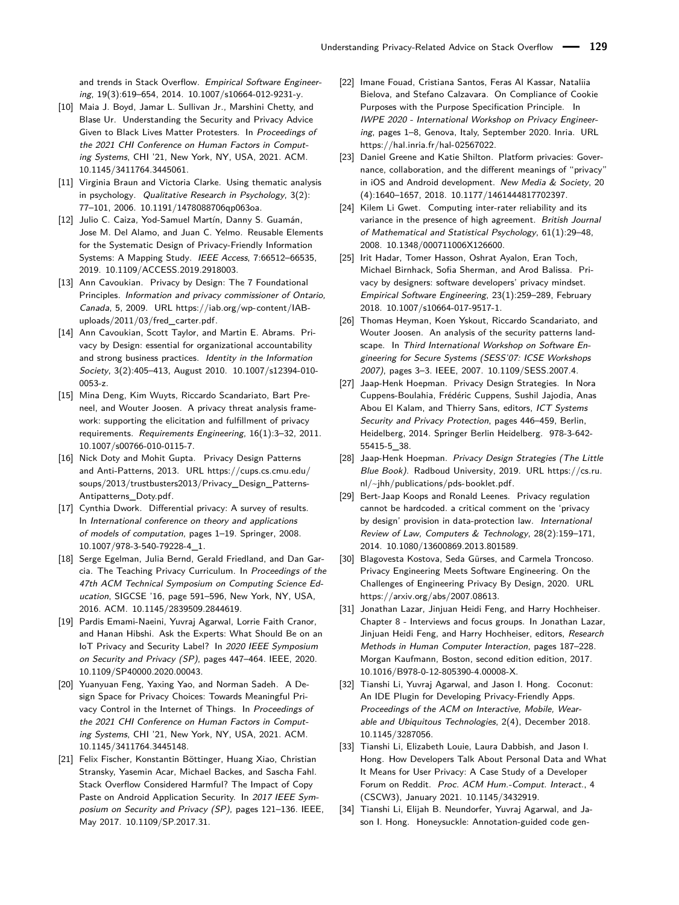and trends in Stack Overflow. Empirical Software Engineering, 19(3):619–654, 2014. [10.1007/s10664-012-9231-y.](https://doi.org/10.1007/s10664-012-9231-y)

- <span id="page-15-7"></span>[10] Maia J. Boyd, Jamar L. Sullivan Jr., Marshini Chetty, and Blase Ur. Understanding the Security and Privacy Advice Given to Black Lives Matter Protesters. In Proceedings of the 2021 CHI Conference on Human Factors in Computing Systems, CHI '21, New York, NY, USA, 2021. ACM. [10.1145/3411764.3445061.](https://doi.org/10.1145/3411764.3445061)
- <span id="page-15-20"></span>[11] Virginia Braun and Victoria Clarke. Using thematic analysis in psychology. Qualitative Research in Psychology, 3(2): 77–101, 2006. [10.1191/1478088706qp063oa.](https://doi.org/10.1191/1478088706qp063oa)
- <span id="page-15-11"></span>[12] Julio C. Caiza, Yod-Samuel Martín, Danny S. Guamán, Jose M. Del Alamo, and Juan C. Yelmo. Reusable Elements for the Systematic Design of Privacy-Friendly Information Systems: A Mapping Study. IEEE Access, 7:66512–66535, 2019. [10.1109/ACCESS.2019.2918003.](https://doi.org/10.1109/ACCESS.2019.2918003)
- <span id="page-15-1"></span>[13] Ann Cavoukian. Privacy by Design: The 7 Foundational Principles. Information and privacy commissioner of Ontario, Canada, 5, 2009. URL [https://iab.org/wp-content/IAB](https://iab.org/wp-content/IAB-uploads/2011/03/fred_carter.pdf)[uploads/2011/03/fred\\_carter.pdf.](https://iab.org/wp-content/IAB-uploads/2011/03/fred_carter.pdf)
- <span id="page-15-2"></span>[14] Ann Cavoukian, Scott Taylor, and Martin E. Abrams. Privacy by Design: essential for organizational accountability and strong business practices. Identity in the Information Society, 3(2):405–413, August 2010. [10.1007/s12394-010-](https://doi.org/10.1007/s12394-010-0053-z) [0053-z.](https://doi.org/10.1007/s12394-010-0053-z)
- <span id="page-15-14"></span>[15] Mina Deng, Kim Wuyts, Riccardo Scandariato, Bart Preneel, and Wouter Joosen. A privacy threat analysis framework: supporting the elicitation and fulfillment of privacy requirements. Requirements Engineering, 16(1):3–32, 2011. [10.1007/s00766-010-0115-7.](https://doi.org/10.1007/s00766-010-0115-7)
- <span id="page-15-12"></span>[16] Nick Doty and Mohit Gupta. Privacy Design Patterns and Anti-Patterns, 2013. URL [https://cups.cs.cmu.edu/](https://cups.cs.cmu.edu/soups/2013/trustbusters2013/Privacy_Design_Patterns-Antipatterns_Doty.pdf) [soups/2013/trustbusters2013/Privacy\\_Design\\_Patterns-](https://cups.cs.cmu.edu/soups/2013/trustbusters2013/Privacy_Design_Patterns-Antipatterns_Doty.pdf)[Antipatterns\\_Doty.pdf.](https://cups.cs.cmu.edu/soups/2013/trustbusters2013/Privacy_Design_Patterns-Antipatterns_Doty.pdf)
- <span id="page-15-16"></span>[17] Cynthia Dwork. Differential privacy: A survey of results. In International conference on theory and applications of models of computation, pages 1–19. Springer, 2008. [10.1007/978-3-540-79228-4\\_1.](https://doi.org/10.1007/978-3-540-79228-4_1)
- <span id="page-15-23"></span>[18] Serge Egelman, Julia Bernd, Gerald Friedland, and Dan Garcia. The Teaching Privacy Curriculum. In Proceedings of the 47th ACM Technical Symposium on Computing Science Education, SIGCSE '16, page 591–596, New York, NY, USA, 2016. ACM. [10.1145/2839509.2844619.](https://doi.org/10.1145/2839509.2844619)
- <span id="page-15-15"></span>[19] Pardis Emami-Naeini, Yuvraj Agarwal, Lorrie Faith Cranor, and Hanan Hibshi. Ask the Experts: What Should Be on an IoT Privacy and Security Label? In 2020 IEEE Symposium on Security and Privacy (SP), pages 447–464. IEEE, 2020. [10.1109/SP40000.2020.00043.](https://doi.org/10.1109/SP40000.2020.00043)
- <span id="page-15-22"></span>[20] Yuanyuan Feng, Yaxing Yao, and Norman Sadeh. A Design Space for Privacy Choices: Towards Meaningful Privacy Control in the Internet of Things. In Proceedings of the 2021 CHI Conference on Human Factors in Computing Systems, CHI '21, New York, NY, USA, 2021. ACM. [10.1145/3411764.3445148.](https://doi.org/10.1145/3411764.3445148)
- <span id="page-15-6"></span>[21] Felix Fischer, Konstantin Böttinger, Huang Xiao, Christian Stransky, Yasemin Acar, Michael Backes, and Sascha Fahl. Stack Overflow Considered Harmful? The Impact of Copy Paste on Android Application Security. In 2017 IEEE Symposium on Security and Privacy (SP), pages 121–136. IEEE, May 2017. [10.1109/SP.2017.31.](https://doi.org/10.1109/SP.2017.31)
- <span id="page-15-0"></span>[22] Imane Fouad, Cristiana Santos, Feras Al Kassar, Nataliia Bielova, and Stefano Calzavara. On Compliance of Cookie Purposes with the Purpose Specification Principle. In IWPE 2020 - International Workshop on Privacy Engineering, pages 1–8, Genova, Italy, September 2020. Inria. URL [https://hal.inria.fr/hal-02567022.](https://hal.inria.fr/hal-02567022)
- <span id="page-15-18"></span>[23] Daniel Greene and Katie Shilton. Platform privacies: Governance, collaboration, and the different meanings of "privacy" in iOS and Android development. New Media & Society, 20 (4):1640–1657, 2018. [10.1177/1461444817702397.](https://doi.org/10.1177/1461444817702397)
- <span id="page-15-19"></span>[24] Kilem Li Gwet. Computing inter-rater reliability and its variance in the presence of high agreement. British Journal of Mathematical and Statistical Psychology, 61(1):29–48, 2008. [10.1348/000711006X126600.](https://doi.org/10.1348/000711006X126600)
- <span id="page-15-17"></span>[25] Irit Hadar, Tomer Hasson, Oshrat Ayalon, Eran Toch, Michael Birnhack, Sofia Sherman, and Arod Balissa. Privacy by designers: software developers' privacy mindset. Empirical Software Engineering, 23(1):259–289, February 2018. [10.1007/s10664-017-9517-1.](https://doi.org/10.1007/s10664-017-9517-1)
- <span id="page-15-13"></span>[26] Thomas Heyman, Koen Yskout, Riccardo Scandariato, and Wouter Joosen. An analysis of the security patterns landscape. In Third International Workshop on Software Engineering for Secure Systems (SESS'07: ICSE Workshops 2007), pages 3–3. IEEE, 2007. [10.1109/SESS.2007.4.](https://doi.org/10.1109/SESS.2007.4)
- <span id="page-15-4"></span>[27] Jaap-Henk Hoepman. Privacy Design Strategies. In Nora Cuppens-Boulahia, Frédéric Cuppens, Sushil Jajodia, Anas Abou El Kalam, and Thierry Sans, editors, ICT Systems Security and Privacy Protection, pages 446–459, Berlin, Heidelberg, 2014. Springer Berlin Heidelberg. [978-3-642-](https://doi.org/978-3-642-55415-5_38) [55415-5\\_38.](https://doi.org/978-3-642-55415-5_38)
- <span id="page-15-3"></span>[28] Jaap-Henk Hoepman. Privacy Design Strategies (The Little Blue Book). Radboud University, 2019. URL [https://cs.ru.](https://cs.ru.nl/~jhh/publications/pds-booklet.pdf) [nl/~jhh/publications/pds-booklet.pdf.](https://cs.ru.nl/~jhh/publications/pds-booklet.pdf)
- <span id="page-15-24"></span>[29] Bert-Jaap Koops and Ronald Leenes. Privacy regulation cannot be hardcoded. a critical comment on the 'privacy by design' provision in data-protection law. International Review of Law, Computers & Technology, 28(2):159–171, 2014. [10.1080/13600869.2013.801589.](https://doi.org/10.1080/13600869.2013.801589)
- <span id="page-15-8"></span>[30] Blagovesta Kostova, Seda Gürses, and Carmela Troncoso. Privacy Engineering Meets Software Engineering. On the Challenges of Engineering Privacy By Design, 2020. URL [https://arxiv.org/abs/2007.08613.](https://arxiv.org/abs/2007.08613)
- <span id="page-15-21"></span>[31] Jonathan Lazar, Jinjuan Heidi Feng, and Harry Hochheiser. Chapter 8 - Interviews and focus groups. In Jonathan Lazar, Jinjuan Heidi Feng, and Harry Hochheiser, editors, Research Methods in Human Computer Interaction, pages 187–228. Morgan Kaufmann, Boston, second edition edition, 2017. [10.1016/B978-0-12-805390-4.00008-X.](https://doi.org/10.1016/B978-0-12-805390-4.00008-X)
- <span id="page-15-9"></span>[32] Tianshi Li, Yuvraj Agarwal, and Jason I. Hong. Coconut: An IDE Plugin for Developing Privacy-Friendly Apps. Proceedings of the ACM on Interactive, Mobile, Wearable and Ubiquitous Technologies, 2(4), December 2018. [10.1145/3287056.](https://doi.org/10.1145/3287056)
- <span id="page-15-5"></span>[33] Tianshi Li, Elizabeth Louie, Laura Dabbish, and Jason I. Hong. How Developers Talk About Personal Data and What It Means for User Privacy: A Case Study of a Developer Forum on Reddit. Proc. ACM Hum.-Comput. Interact., 4 (CSCW3), January 2021. [10.1145/3432919.](https://doi.org/10.1145/3432919)
- <span id="page-15-10"></span>[34] Tianshi Li, Elijah B. Neundorfer, Yuvraj Agarwal, and Jason I. Hong. Honeysuckle: Annotation-guided code gen-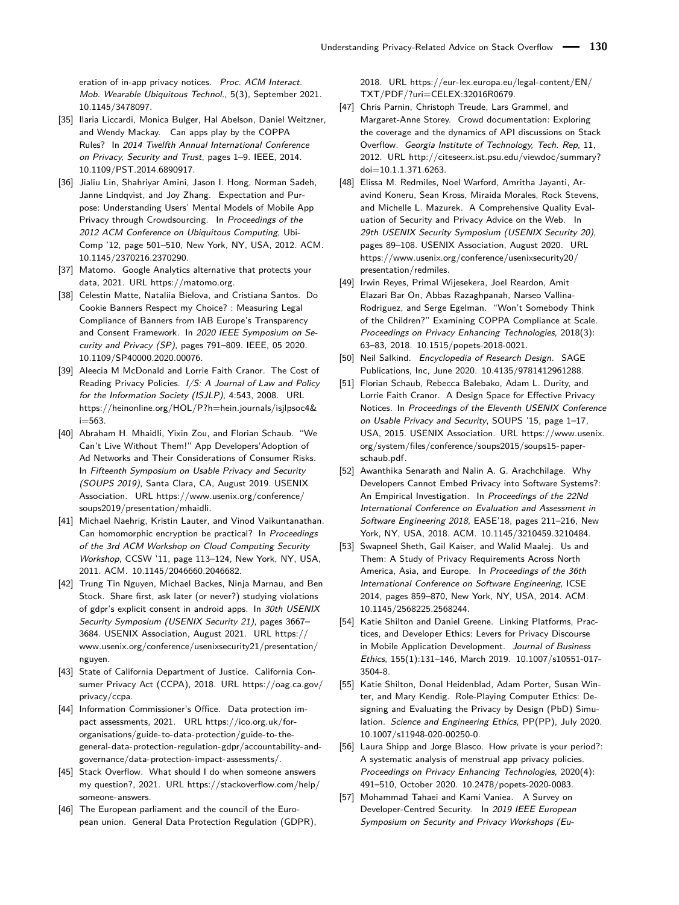eration of in-app privacy notices. Proc. ACM Interact. Mob. Wearable Ubiquitous Technol., 5(3), September 2021. [10.1145/3478097.](https://doi.org/10.1145/3478097)

- <span id="page-16-2"></span>[35] Ilaria Liccardi, Monica Bulger, Hal Abelson, Daniel Weitzner, and Wendy Mackay. Can apps play by the COPPA Rules? In 2014 Twelfth Annual International Conference on Privacy, Security and Trust, pages 1–9. IEEE, 2014. [10.1109/PST.2014.6890917.](https://doi.org/10.1109/PST.2014.6890917)
- <span id="page-16-16"></span>[36] Jialiu Lin, Shahriyar Amini, Jason I. Hong, Norman Sadeh, Janne Lindqvist, and Joy Zhang. Expectation and Purpose: Understanding Users' Mental Models of Mobile App Privacy through Crowdsourcing. In Proceedings of the 2012 ACM Conference on Ubiquitous Computing, Ubi-Comp '12, page 501–510, New York, NY, USA, 2012. ACM. [10.1145/2370216.2370290.](https://doi.org/10.1145/2370216.2370290)
- <span id="page-16-18"></span>[37] Matomo. Google Analytics alternative that protects your data, 2021. URL [https://matomo.org.](https://matomo.org)
- <span id="page-16-3"></span>[38] Celestin Matte, Nataliia Bielova, and Cristiana Santos. Do Cookie Banners Respect my Choice? : Measuring Legal Compliance of Banners from IAB Europe's Transparency and Consent Framework. In 2020 IEEE Symposium on Security and Privacy (SP), pages 791–809. IEEE, 05 2020. [10.1109/SP40000.2020.00076.](https://doi.org/10.1109/SP40000.2020.00076)
- <span id="page-16-22"></span>[39] Aleecia M McDonald and Lorrie Faith Cranor. The Cost of Reading Privacy Policies. I/S: A Journal of Law and Policy for the Information Society (ISJLP), 4:543, 2008. URL [https://heinonline.org/HOL/P?h=hein.journals/isjlpsoc4&](https://heinonline.org/HOL/P?h=hein.journals/isjlpsoc4&i=563)  $i=563$
- <span id="page-16-21"></span>[40] Abraham H. Mhaidli, Yixin Zou, and Florian Schaub. "We Can't Live Without Them!" App Developers'Adoption of Ad Networks and Their Considerations of Consumer Risks. In Fifteenth Symposium on Usable Privacy and Security (SOUPS 2019), Santa Clara, CA, August 2019. USENIX Association. URL [https://www.usenix.org/conference/](https://www.usenix.org/conference/soups2019/presentation/mhaidli) [soups2019/presentation/mhaidli.](https://www.usenix.org/conference/soups2019/presentation/mhaidli)
- <span id="page-16-11"></span>[41] Michael Naehrig, Kristin Lauter, and Vinod Vaikuntanathan. Can homomorphic encryption be practical? In Proceedings of the 3rd ACM Workshop on Cloud Computing Security Workshop, CCSW '11, page 113–124, New York, NY, USA, 2011. ACM. [10.1145/2046660.2046682.](https://doi.org/10.1145/2046660.2046682)
- <span id="page-16-4"></span>[42] Trung Tin Nguyen, Michael Backes, Ninja Marnau, and Ben Stock. Share first, ask later (or never?) studying violations of gdpr's explicit consent in android apps. In 30th USENIX Security Symposium (USENIX Security 21), pages 3667– 3684. USENIX Association, August 2021. URL [https://](https://www.usenix.org/conference/usenixsecurity21/presentation/nguyen) [www.usenix.org/conference/usenixsecurity21/presentation/](https://www.usenix.org/conference/usenixsecurity21/presentation/nguyen) [nguyen.](https://www.usenix.org/conference/usenixsecurity21/presentation/nguyen)
- <span id="page-16-1"></span>[43] State of California Department of Justice. California Consumer Privacy Act (CCPA), 2018. URL [https://oag.ca.gov/](https://oag.ca.gov/privacy/ccpa) [privacy/ccpa.](https://oag.ca.gov/privacy/ccpa)
- <span id="page-16-17"></span>[44] Information Commissioner's Office. Data protection impact assessments, 2021. URL [https://ico.org.uk/for](https://ico.org.uk/for-organisations/guide-to-data-protection/guide-to-the-general-data-protection-regulation-gdpr/accountability-and-governance/data-protection-impact-assessments/)[organisations/guide-to-data-protection/guide-to-the](https://ico.org.uk/for-organisations/guide-to-data-protection/guide-to-the-general-data-protection-regulation-gdpr/accountability-and-governance/data-protection-impact-assessments/)[general-data-protection-regulation-gdpr/accountability-and](https://ico.org.uk/for-organisations/guide-to-data-protection/guide-to-the-general-data-protection-regulation-gdpr/accountability-and-governance/data-protection-impact-assessments/)[governance/data-protection-impact-assessments/.](https://ico.org.uk/for-organisations/guide-to-data-protection/guide-to-the-general-data-protection-regulation-gdpr/accountability-and-governance/data-protection-impact-assessments/)
- <span id="page-16-14"></span>[45] Stack Overflow. What should I do when someone answers my question?, 2021. URL [https://stackoverflow.com/help/](https://stackoverflow.com/help/someone-answers) [someone-answers.](https://stackoverflow.com/help/someone-answers)
- <span id="page-16-0"></span>[46] The European parliament and the council of the European union. General Data Protection Regulation (GDPR),

2018. URL [https://eur-lex.europa.eu/legal-content/EN/](https://eur-lex.europa.eu/legal-content/EN/TXT/PDF/?uri=CELEX:32016R0679) [TXT/PDF/?uri=CELEX:32016R0679.](https://eur-lex.europa.eu/legal-content/EN/TXT/PDF/?uri=CELEX:32016R0679)

- <span id="page-16-7"></span>[47] Chris Parnin, Christoph Treude, Lars Grammel, and Margaret-Anne Storey. Crowd documentation: Exploring the coverage and the dynamics of API discussions on Stack Overflow. Georgia Institute of Technology, Tech. Rep, 11, 2012. URL [http://citeseerx.ist.psu.edu/viewdoc/summary?](http://citeseerx.ist.psu.edu/viewdoc/summary?doi=10.1.1.371.6263) [doi=10.1.1.371.6263.](http://citeseerx.ist.psu.edu/viewdoc/summary?doi=10.1.1.371.6263)
- <span id="page-16-8"></span>[48] Elissa M. Redmiles, Noel Warford, Amritha Jayanti, Aravind Koneru, Sean Kross, Miraida Morales, Rock Stevens, and Michelle L. Mazurek. A Comprehensive Quality Evaluation of Security and Privacy Advice on the Web. In 29th USENIX Security Symposium (USENIX Security 20), pages 89–108. USENIX Association, August 2020. URL [https://www.usenix.org/conference/usenixsecurity20/](https://www.usenix.org/conference/usenixsecurity20/presentation/redmiles) [presentation/redmiles.](https://www.usenix.org/conference/usenixsecurity20/presentation/redmiles)
- <span id="page-16-5"></span>[49] Irwin Reyes, Primal Wijesekera, Joel Reardon, Amit Elazari Bar On, Abbas Razaghpanah, Narseo Vallina-Rodriguez, and Serge Egelman. "Won't Somebody Think of the Children?" Examining COPPA Compliance at Scale. Proceedings on Privacy Enhancing Technologies, 2018(3): 63–83, 2018. [10.1515/popets-2018-0021.](https://doi.org/10.1515/popets-2018-0021)
- <span id="page-16-15"></span>[50] Neil Salkind. Encyclopedia of Research Design. SAGE Publications, Inc, June 2020. [10.4135/9781412961288.](https://doi.org/10.4135/9781412961288)
- <span id="page-16-20"></span>[51] Florian Schaub, Rebecca Balebako, Adam L. Durity, and Lorrie Faith Cranor. A Design Space for Effective Privacy Notices. In Proceedings of the Eleventh USENIX Conference on Usable Privacy and Security, SOUPS '15, page 1–17, USA, 2015. USENIX Association. URL [https://www.usenix.](https://www.usenix.org/system/files/conference/soups2015/soups15-paper-schaub.pdf) [org/system/files/conference/soups2015/soups15-paper](https://www.usenix.org/system/files/conference/soups2015/soups15-paper-schaub.pdf)[schaub.pdf.](https://www.usenix.org/system/files/conference/soups2015/soups15-paper-schaub.pdf)
- <span id="page-16-9"></span>[52] Awanthika Senarath and Nalin A. G. Arachchilage. Why Developers Cannot Embed Privacy into Software Systems?: An Empirical Investigation. In Proceedings of the 22Nd International Conference on Evaluation and Assessment in Software Engineering 2018, EASE'18, pages 211–216, New York, NY, USA, 2018. ACM. [10.1145/3210459.3210484.](https://doi.org/10.1145/3210459.3210484)
- <span id="page-16-12"></span>[53] Swapneel Sheth, Gail Kaiser, and Walid Maalej. Us and Them: A Study of Privacy Requirements Across North America, Asia, and Europe. In Proceedings of the 36th International Conference on Software Engineering, ICSE 2014, pages 859–870, New York, NY, USA, 2014. ACM. [10.1145/2568225.2568244.](https://doi.org/10.1145/2568225.2568244)
- <span id="page-16-13"></span>[54] Katie Shilton and Daniel Greene. Linking Platforms, Practices, and Developer Ethics: Levers for Privacy Discourse in Mobile Application Development. Journal of Business Ethics, 155(1):131–146, March 2019. [10.1007/s10551-017-](https://doi.org/10.1007/s10551-017-3504-8) [3504-8.](https://doi.org/10.1007/s10551-017-3504-8)
- <span id="page-16-10"></span>[55] Katie Shilton, Donal Heidenblad, Adam Porter, Susan Winter, and Mary Kendig. Role-Playing Computer Ethics: Designing and Evaluating the Privacy by Design (PbD) Simulation. Science and Engineering Ethics, PP(PP), July 2020. [10.1007/s11948-020-00250-0.](https://doi.org/10.1007/s11948-020-00250-0)
- <span id="page-16-6"></span>[56] Laura Shipp and Jorge Blasco. How private is your period?: A systematic analysis of menstrual app privacy policies. Proceedings on Privacy Enhancing Technologies, 2020(4): 491–510, October 2020. [10.2478/popets-2020-0083.](https://doi.org/10.2478/popets-2020-0083)
- <span id="page-16-19"></span>[57] Mohammad Tahaei and Kami Vaniea. A Survey on Developer-Centred Security. In 2019 IEEE European Symposium on Security and Privacy Workshops (Eu-